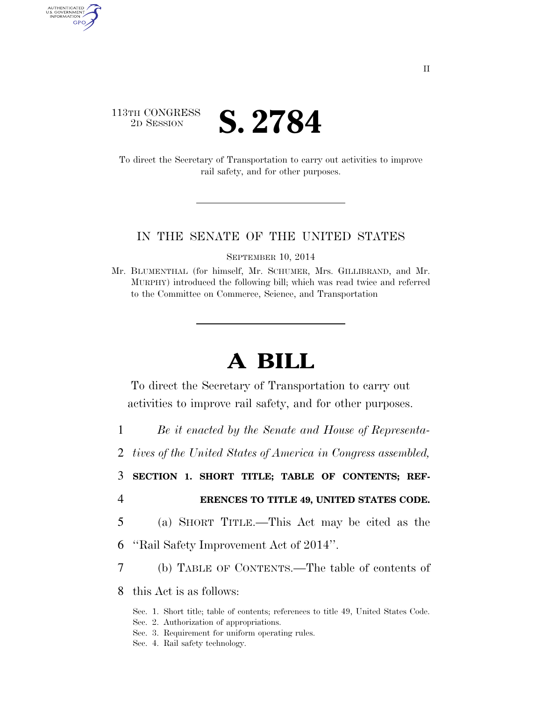### 113TH CONGRESS **2D SESSION S. 2784**

AUTHENTICATED U.S. GOVERNMENT GPO

> To direct the Secretary of Transportation to carry out activities to improve rail safety, and for other purposes.

#### IN THE SENATE OF THE UNITED STATES

SEPTEMBER 10, 2014

Mr. BLUMENTHAL (for himself, Mr. SCHUMER, Mrs. GILLIBRAND, and Mr. MURPHY) introduced the following bill; which was read twice and referred to the Committee on Commerce, Science, and Transportation

# **A BILL**

To direct the Secretary of Transportation to carry out activities to improve rail safety, and for other purposes.

1 *Be it enacted by the Senate and House of Representa-*

2 *tives of the United States of America in Congress assembled,* 

3 **SECTION 1. SHORT TITLE; TABLE OF CONTENTS; REF-**

- 4 **ERENCES TO TITLE 49, UNITED STATES CODE.**
- 5 (a) SHORT TITLE.—This Act may be cited as the
- 6 ''Rail Safety Improvement Act of 2014''.
- 7 (b) TABLE OF CONTENTS.—The table of contents of

8 this Act is as follows:

- Sec. 1. Short title; table of contents; references to title 49, United States Code.
- Sec. 2. Authorization of appropriations.
- Sec. 3. Requirement for uniform operating rules.
- Sec. 4. Rail safety technology.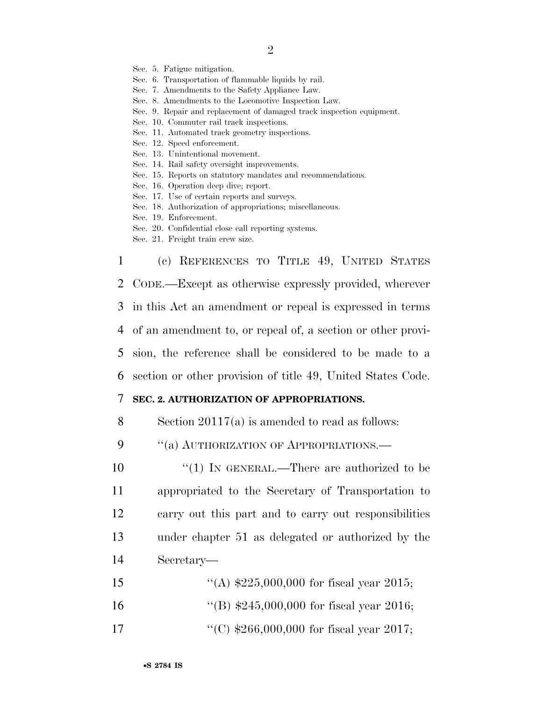Sec. 5. Fatigue mitigation.

Sec. 6. Transportation of flammable liquids by rail.

Sec. 7. Amendments to the Safety Appliance Law.

- Sec. 8. Amendments to the Locomotive Inspection Law.
- Sec. 9. Repair and replacement of damaged track inspection equipment.
- Sec. 10. Commuter rail track inspections.
- Sec. 11. Automated track geometry inspections.
- Sec. 12. Speed enforcement.
- Sec. 13. Unintentional movement.
- Sec. 14. Rail safety oversight improvements.
- Sec. 15. Reports on statutory mandates and recommendations.
- Sec. 16. Operation deep dive; report.
- Sec. 17. Use of certain reports and surveys.
- Sec. 18. Authorization of appropriations; miscellaneous.
- Sec. 19. Enforcement.
- Sec. 20. Confidential close call reporting systems.
- Sec. 21. Freight train crew size.

 (c) REFERENCES TO TITLE 49, UNITED STATES CODE.—Except as otherwise expressly provided, wherever in this Act an amendment or repeal is expressed in terms of an amendment to, or repeal of, a section or other provi- sion, the reference shall be considered to be made to a section or other provision of title 49, United States Code.

#### 7 **SEC. 2. AUTHORIZATION OF APPROPRIATIONS.**

8 Section 20117(a) is amended to read as follows:

9 "(a) AUTHORIZATION OF APPROPRIATIONS.—

10 ''(1) IN GENERAL.—There are authorized to be appropriated to the Secretary of Transportation to carry out this part and to carry out responsibilities under chapter 51 as delegated or authorized by the Secretary—

- 15  $\frac{1}{225,000,000}$  for fiscal year 2015; 16 ''(B) \$245,000,000 for fiscal year 2016;
- 17 ''(C) \$266,000,000 for fiscal year 2017;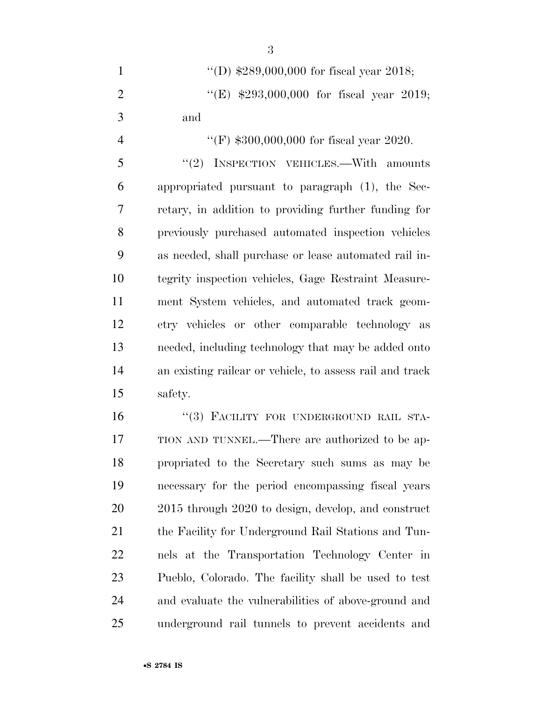''(D) \$289,000,000 for fiscal year 2018; ''(E) \$293,000,000 for fiscal year 2019; and

 $\text{``(F)} \$300,000,000$  for fiscal year 2020. 5 "(2) INSPECTION VEHICLES.—With amounts appropriated pursuant to paragraph (1), the Sec- retary, in addition to providing further funding for previously purchased automated inspection vehicles as needed, shall purchase or lease automated rail in- tegrity inspection vehicles, Gage Restraint Measure- ment System vehicles, and automated track geom- etry vehicles or other comparable technology as needed, including technology that may be added onto an existing railcar or vehicle, to assess rail and track safety.

16 "(3) FACILITY FOR UNDERGROUND RAIL STA- TION AND TUNNEL.—There are authorized to be ap- propriated to the Secretary such sums as may be necessary for the period encompassing fiscal years 2015 through 2020 to design, develop, and construct the Facility for Underground Rail Stations and Tun- nels at the Transportation Technology Center in Pueblo, Colorado. The facility shall be used to test and evaluate the vulnerabilities of above-ground and underground rail tunnels to prevent accidents and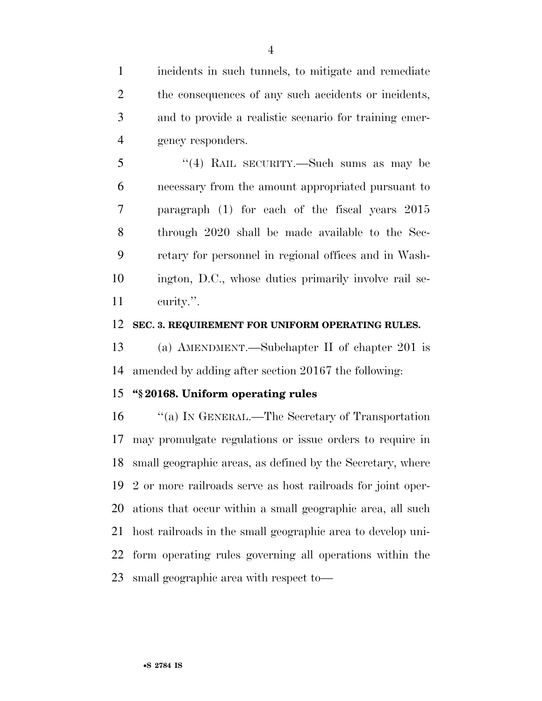incidents in such tunnels, to mitigate and remediate 2 the consequences of any such accidents or incidents, and to provide a realistic scenario for training emer-gency responders.

 ''(4) RAIL SECURITY.—Such sums as may be necessary from the amount appropriated pursuant to paragraph (1) for each of the fiscal years 2015 through 2020 shall be made available to the Sec- retary for personnel in regional offices and in Wash- ington, D.C., whose duties primarily involve rail se-curity.''.

#### **SEC. 3. REQUIREMENT FOR UNIFORM OPERATING RULES.**

 (a) AMENDMENT.—Subchapter II of chapter 201 is amended by adding after section 20167 the following:

#### **''§ 20168. Uniform operating rules**

 ''(a) IN GENERAL.—The Secretary of Transportation may promulgate regulations or issue orders to require in small geographic areas, as defined by the Secretary, where 2 or more railroads serve as host railroads for joint oper- ations that occur within a small geographic area, all such host railroads in the small geographic area to develop uni- form operating rules governing all operations within the small geographic area with respect to—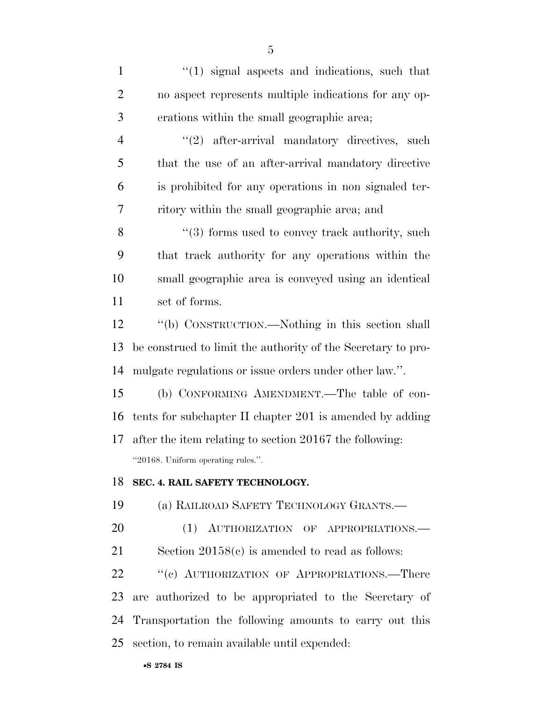| $\mathbf{1}$   | $\lq(1)$ signal aspects and indications, such that           |
|----------------|--------------------------------------------------------------|
| $\overline{2}$ | no aspect represents multiple indications for any op-        |
| 3              | erations within the small geographic area;                   |
| $\overline{4}$ | $"(2)$ after-arrival mandatory directives,<br>such           |
| 5              | that the use of an after-arrival mandatory directive         |
| 6              | is prohibited for any operations in non signaled ter-        |
| 7              | ritory within the small geographic area; and                 |
| 8              | $\cdot\cdot$ (3) forms used to convey track authority, such  |
| 9              | that track authority for any operations within the           |
| 10             | small geographic area is conveyed using an identical         |
| 11             | set of forms.                                                |
| 12             | "(b) CONSTRUCTION.—Nothing in this section shall             |
| 13             | be construed to limit the authority of the Secretary to pro- |
| 14             | mulgate regulations or issue orders under other law.".       |
| 15             | (b) CONFORMING AMENDMENT.—The table of con-                  |
| 16             | tents for subchapter II chapter 201 is amended by adding     |
| 17             | after the item relating to section 20167 the following:      |
|                | "20168. Uniform operating rules."                            |
| 18             | SEC. 4. RAIL SAFETY TECHNOLOGY.                              |
| 19             | (a) RAILROAD SAFETY TECHNOLOGY GRANTS.                       |
| 20             | (1) AUTHORIZATION OF APPROPRIATIONS.                         |
| 21             | Section $20158(c)$ is amended to read as follows:            |
| 22             | "(c) AUTHORIZATION OF APPROPRIATIONS.—There                  |
| 23             | are authorized to be appropriated to the Secretary of        |
| 24             | Transportation the following amounts to carry out this       |
| 25             | section, to remain available until expended:                 |
|                |                                                              |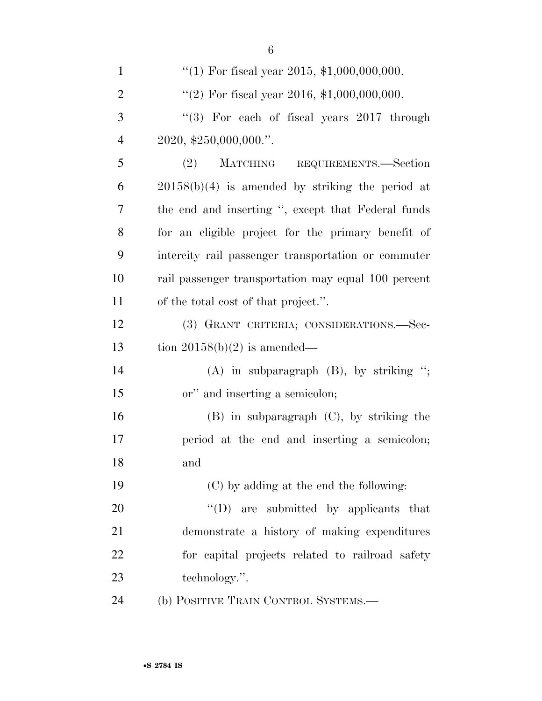| $\mathbf{1}$   | "(1) For fiscal year 2015, $$1,000,000,000$ .       |
|----------------|-----------------------------------------------------|
| $\overline{2}$ | "(2) For fiscal year 2016, $$1,000,000,000$ .       |
| 3              | "(3) For each of fiscal years $2017$ through        |
| $\overline{4}$ | $2020,$ \$250,000,000."                             |
| 5              | (2) MATCHING REQUIREMENTS.-Section                  |
| 6              | $20158(b)(4)$ is amended by striking the period at  |
| 7              | the end and inserting ", except that Federal funds  |
| 8              | for an eligible project for the primary benefit of  |
| 9              | intercity rail passenger transportation or commuter |
| 10             | rail passenger transportation may equal 100 percent |
| 11             | of the total cost of that project.".                |
| 12             | (3) GRANT CRITERIA; CONSIDERATIONS.-Sec-            |
| 13             | tion $20158(b)(2)$ is amended—                      |
| 14             | $(A)$ in subparagraph $(B)$ , by striking ";        |
| 15             | or" and inserting a semicolon;                      |
| 16             | $(B)$ in subparagraph $(C)$ , by striking the       |
| 17             | period at the end and inserting a semicolon;        |
| 18             | and                                                 |
| 19             | (C) by adding at the end the following:             |
| 20             | "(D) are submitted by applicants that               |
| 21             | demonstrate a history of making expenditures        |
| 22             | for capital projects related to railroad safety     |
| 23             | technology.".                                       |
| 24             | (b) POSITIVE TRAIN CONTROL SYSTEMS.-                |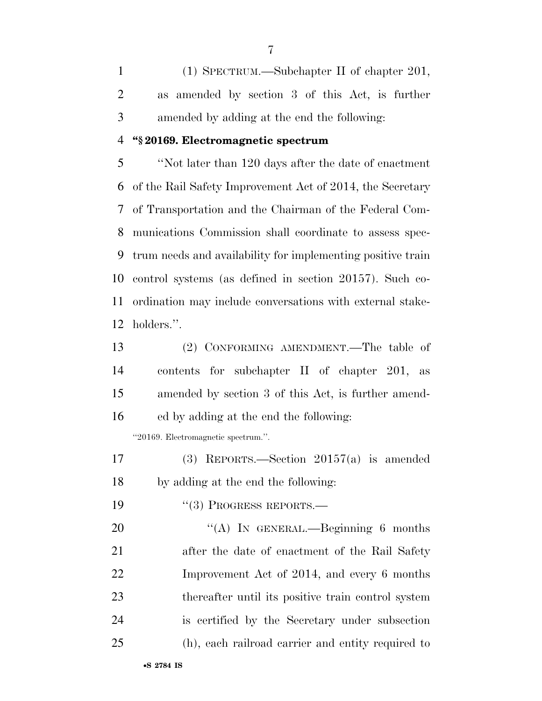(1) SPECTRUM.—Subchapter II of chapter 201, as amended by section 3 of this Act, is further amended by adding at the end the following:

#### **''§ 20169. Electromagnetic spectrum**

 ''Not later than 120 days after the date of enactment of the Rail Safety Improvement Act of 2014, the Secretary of Transportation and the Chairman of the Federal Com- munications Commission shall coordinate to assess spec- trum needs and availability for implementing positive train control systems (as defined in section 20157). Such co- ordination may include conversations with external stake-holders.''.

 (2) CONFORMING AMENDMENT.—The table of contents for subchapter II of chapter 201, as amended by section 3 of this Act, is further amend-ed by adding at the end the following:

''20169. Electromagnetic spectrum.''.

 (3) REPORTS.—Section 20157(a) is amended by adding at the end the following:

19 "(3) PROGRESS REPORTS.—

20 "(A) IN GENERAL.—Beginning 6 months after the date of enactment of the Rail Safety Improvement Act of 2014, and every 6 months thereafter until its positive train control system is certified by the Secretary under subsection (h), each railroad carrier and entity required to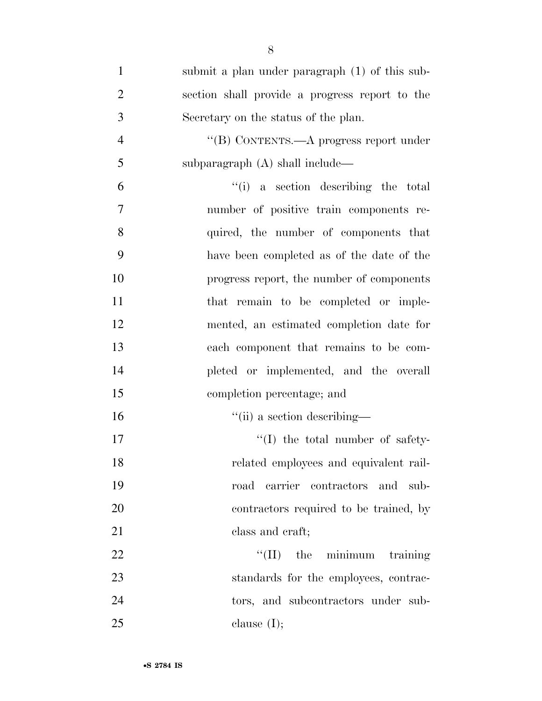| $\mathbf{1}$   | submit a plan under paragraph (1) of this sub- |
|----------------|------------------------------------------------|
| $\overline{2}$ | section shall provide a progress report to the |
| 3              | Secretary on the status of the plan.           |
| $\overline{4}$ | "(B) CONTENTS.—A progress report under         |
| 5              | subparagraph $(A)$ shall include—              |
| 6              | "(i) a section describing the total            |
| $\overline{7}$ | number of positive train components re-        |
| 8              | quired, the number of components that          |
| 9              | have been completed as of the date of the      |
| 10             | progress report, the number of components      |
| 11             | that remain to be completed or imple-          |
| 12             | mented, an estimated completion date for       |
| 13             | each component that remains to be com-         |
| 14             | pleted or implemented, and the overall         |
| 15             | completion percentage; and                     |
| 16             | "(ii) a section describing—                    |
| 17             | $\lq\lq$ (I) the total number of safety-       |
| 18             | related employees and equivalent rail-         |
| 19             | road carrier contractors and<br>sub-           |
| 20             | contractors required to be trained, by         |
| 21             | class and craft;                               |
| 22             | $\lq\lq$ (II) the minimum<br>training          |
| 23             | standards for the employees, contrac-          |
| 24             | tors, and subcontractors under sub-            |
| 25             | clause $(I);$                                  |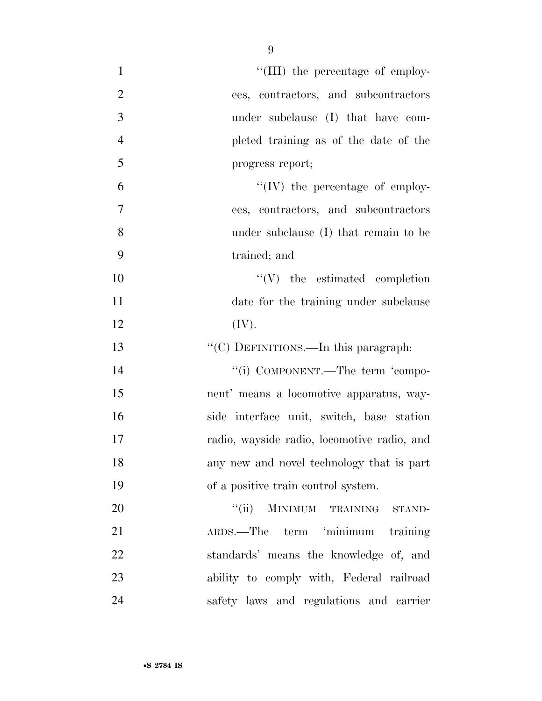| $\mathbf{1}$   | "(III) the percentage of employ-                                                    |
|----------------|-------------------------------------------------------------------------------------|
|                |                                                                                     |
| $\overline{2}$ | ees, contractors, and subcontractors                                                |
| 3              | under subclause (I) that have com-                                                  |
| $\overline{4}$ | pleted training as of the date of the                                               |
| 5              | progress report;                                                                    |
| 6              | "(IV) the percentage of employ-                                                     |
| $\overline{7}$ | ees, contractors, and subcontractors                                                |
| 8              | under subclause (I) that remain to be                                               |
| 9              | trained; and                                                                        |
| 10             | $\lq\lq(V)$ the estimated completion                                                |
| 11             | date for the training under subclause                                               |
| 12             | (IV).                                                                               |
| 13             | "(C) DEFINITIONS.—In this paragraph:                                                |
| 14             | "(i) COMPONENT.—The term 'compo-                                                    |
| 15             | nent' means a locomotive apparatus, way-                                            |
| 16             | side interface unit, switch, base station                                           |
| 17             | radio, wayside radio, locomotive radio, and                                         |
| 18             | any new and novel technology that is part                                           |
| 19             | of a positive train control system.                                                 |
| 20             | MINIMUM TRAINING STAND-<br>``(ii)                                                   |
| 21             | ARDS.—The term 'minimum training                                                    |
|                |                                                                                     |
| 22             | standards' means the knowledge of, and                                              |
| 23             |                                                                                     |
| 24             | ability to comply with, Federal railroad<br>safety laws and regulations and carrier |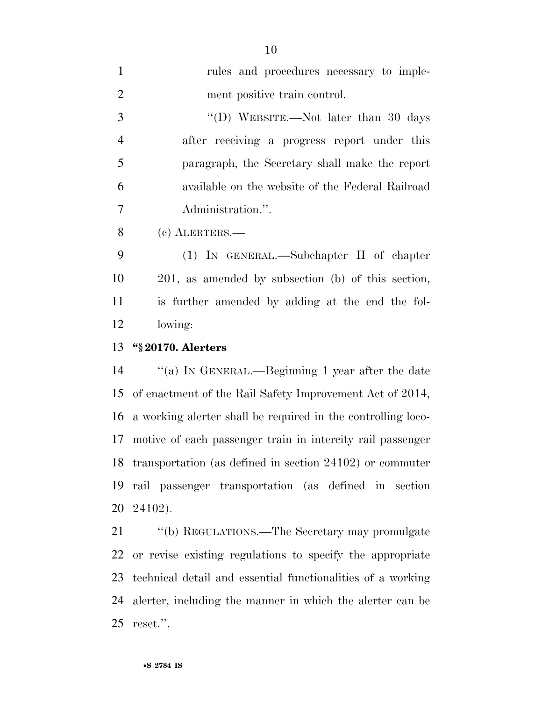| $\mathbf{1}$   | rules and procedures necessary to imple-                     |
|----------------|--------------------------------------------------------------|
| $\overline{2}$ | ment positive train control.                                 |
| 3              | "(D) WEBSITE.—Not later than 30 days                         |
| $\overline{4}$ | after receiving a progress report under this                 |
| 5              | paragraph, the Secretary shall make the report               |
| 6              | available on the website of the Federal Railroad             |
| 7              | Administration.".                                            |
| 8              | (c) ALERTERS.-                                               |
| 9              | (1) IN GENERAL.—Subchapter II of chapter                     |
| 10             | 201, as amended by subsection (b) of this section,           |
| 11             | is further amended by adding at the end the fol-             |
| 12             | lowing:                                                      |
| 13             | "§ 20170. Alerters                                           |
|                |                                                              |
| 14             | "(a) IN GENERAL.—Beginning 1 year after the date             |
| 15             | of enactment of the Rail Safety Improvement Act of 2014,     |
| 16             | a working alerter shall be required in the controlling loco- |
| 17             | motive of each passenger train in intercity rail passenger   |
|                | 18 transportation (as defined in section 24102) or commuter  |
| 19             | rail passenger transportation (as defined in section         |
|                | 20 24102).                                                   |
| 21             | "(b) REGULATIONS.—The Secretary may promulgate               |
|                | 22 or revise existing regulations to specify the appropriate |

 technical detail and essential functionalities of a working alerter, including the manner in which the alerter can be reset.''.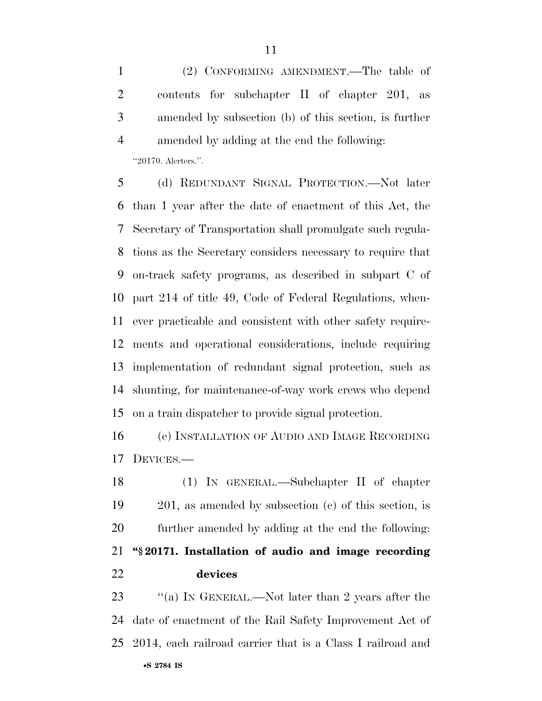(2) CONFORMING AMENDMENT.—The table of contents for subchapter II of chapter 201, as amended by subsection (b) of this section, is further amended by adding at the end the following:

"20170. Alerters.".

 (d) REDUNDANT SIGNAL PROTECTION.—Not later than 1 year after the date of enactment of this Act, the Secretary of Transportation shall promulgate such regula- tions as the Secretary considers necessary to require that on-track safety programs, as described in subpart C of part 214 of title 49, Code of Federal Regulations, when- ever practicable and consistent with other safety require- ments and operational considerations, include requiring implementation of redundant signal protection, such as shunting, for maintenance-of-way work crews who depend on a train dispatcher to provide signal protection.

 (e) INSTALLATION OF AUDIO AND IMAGE RECORDING DEVICES.—

 (1) IN GENERAL.—Subchapter II of chapter 201, as amended by subsection (c) of this section, is further amended by adding at the end the following: **''§ 20171. Installation of audio and image recording devices** 

•**S 2784 IS** 23 "(a) In GENERAL.—Not later than 2 years after the date of enactment of the Rail Safety Improvement Act of 2014, each railroad carrier that is a Class I railroad and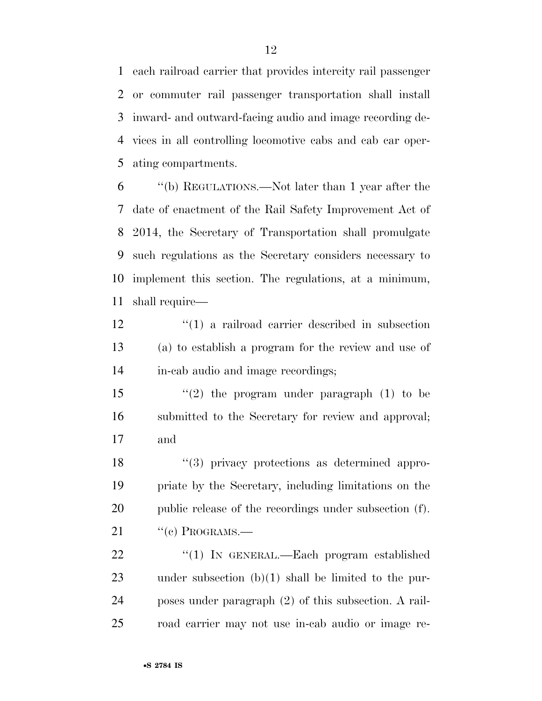each railroad carrier that provides intercity rail passenger or commuter rail passenger transportation shall install inward- and outward-facing audio and image recording de- vices in all controlling locomotive cabs and cab car oper-ating compartments.

 ''(b) REGULATIONS.—Not later than 1 year after the date of enactment of the Rail Safety Improvement Act of 2014, the Secretary of Transportation shall promulgate such regulations as the Secretary considers necessary to implement this section. The regulations, at a minimum, shall require—

12 ''(1) a railroad carrier described in subsection (a) to establish a program for the review and use of in-cab audio and image recordings;

15  $\frac{1}{2}$  the program under paragraph (1) to be submitted to the Secretary for review and approval; and

18 ''(3) privacy protections as determined appro- priate by the Secretary, including limitations on the public release of the recordings under subsection (f). "(c) PROGRAMS.—

22 "(1) In GENERAL.—Each program established under subsection (b)(1) shall be limited to the pur- poses under paragraph (2) of this subsection. A rail-road carrier may not use in-cab audio or image re-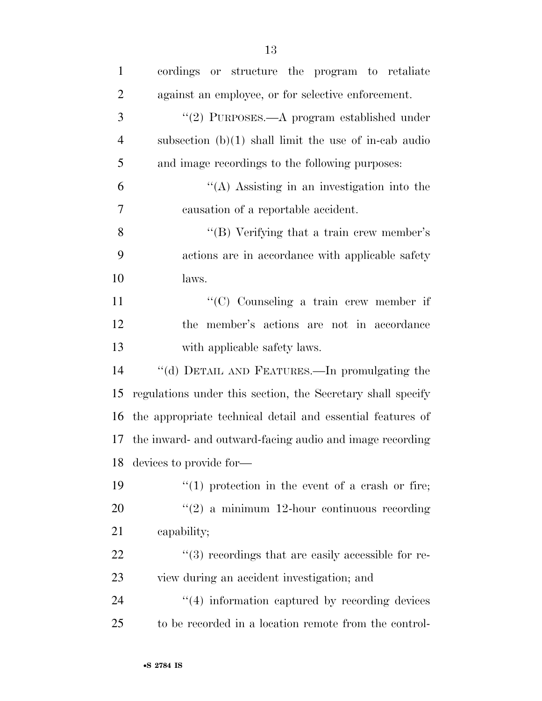| $\mathbf{1}$   | or structure the program to retaliate<br>cordings           |
|----------------|-------------------------------------------------------------|
| $\overline{2}$ | against an employee, or for selective enforcement.          |
| 3              | "(2) PURPOSES.—A program established under                  |
| $\overline{4}$ | subsection $(b)(1)$ shall limit the use of in-cab audio     |
| 5              | and image recordings to the following purposes:             |
| 6              | "(A) Assisting in an investigation into the                 |
| 7              | causation of a reportable accident.                         |
| 8              | "(B) Verifying that a train crew member's                   |
| 9              | actions are in accordance with applicable safety            |
| 10             | laws.                                                       |
| 11             | $\lq\lq$ Counseling a train crew member if                  |
| 12             | the member's actions are not in accordance                  |
| 13             | with applicable safety laws.                                |
| 14             | "(d) DETAIL AND FEATURES.—In promulgating the               |
| 15             | regulations under this section, the Secretary shall specify |
| 16             | the appropriate technical detail and essential features of  |
|                | 17 the inward- and outward-facing audio and image recording |
|                | 18 devices to provide for-                                  |
| 19             | $f''(1)$ protection in the event of a crash or fire;        |
| 20             | $\lq(2)$ a minimum 12-hour continuous recording             |
| 21             | capability;                                                 |
| 22             | $\lq(3)$ recordings that are easily accessible for re-      |
| 23             | view during an accident investigation; and                  |
| 24             | $\cdot$ (4) information captured by recording devices       |
| 25             | to be recorded in a location remote from the control-       |
|                |                                                             |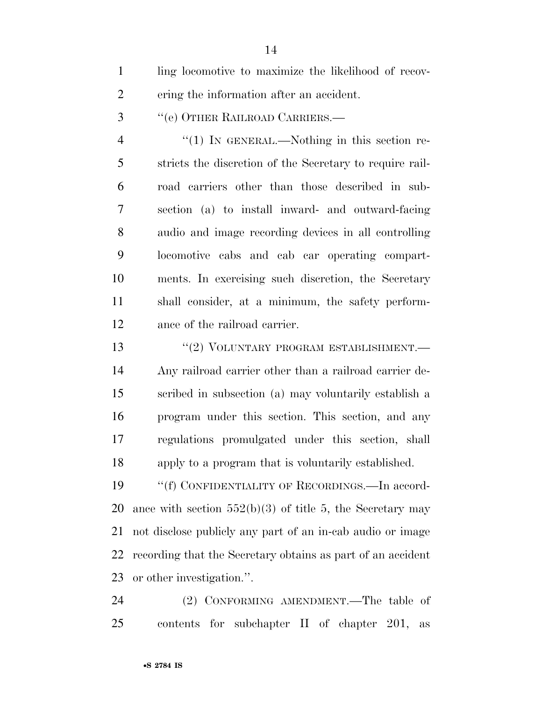ling locomotive to maximize the likelihood of recov-ering the information after an accident.

''(e) OTHER RAILROAD CARRIERS.—

4 "(1) In GENERAL.—Nothing in this section re- stricts the discretion of the Secretary to require rail- road carriers other than those described in sub- section (a) to install inward- and outward-facing audio and image recording devices in all controlling locomotive cabs and cab car operating compart- ments. In exercising such discretion, the Secretary shall consider, at a minimum, the safety perform-ance of the railroad carrier.

13 <sup>"</sup>(2) VOLUNTARY PROGRAM ESTABLISHMENT.— Any railroad carrier other than a railroad carrier de- scribed in subsection (a) may voluntarily establish a program under this section. This section, and any regulations promulgated under this section, shall apply to a program that is voluntarily established.

19 "'(f) CONFIDENTIALITY OF RECORDINGS.—In accord-20 ance with section  $552(b)(3)$  of title 5, the Secretary may not disclose publicly any part of an in-cab audio or image recording that the Secretary obtains as part of an accident or other investigation.''.

 (2) CONFORMING AMENDMENT.—The table of contents for subchapter II of chapter 201, as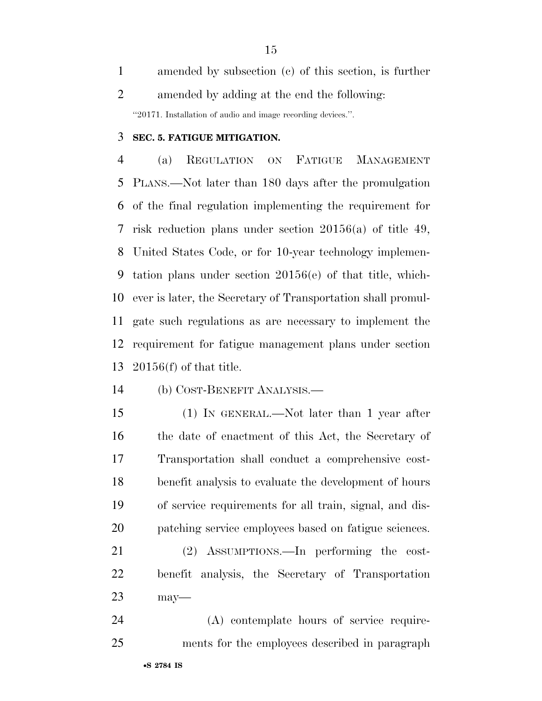amended by subsection (c) of this section, is further amended by adding at the end the following: ''20171. Installation of audio and image recording devices.''.

#### **SEC. 5. FATIGUE MITIGATION.**

 (a) REGULATION ON FATIGUE MANAGEMENT PLANS.—Not later than 180 days after the promulgation of the final regulation implementing the requirement for risk reduction plans under section 20156(a) of title 49, United States Code, or for 10-year technology implemen- tation plans under section 20156(e) of that title, which- ever is later, the Secretary of Transportation shall promul- gate such regulations as are necessary to implement the requirement for fatigue management plans under section 20156(f) of that title.

- (b) COST-BENEFIT ANALYSIS.—
- 

 (1) IN GENERAL.—Not later than 1 year after the date of enactment of this Act, the Secretary of Transportation shall conduct a comprehensive cost- benefit analysis to evaluate the development of hours of service requirements for all train, signal, and dis-patching service employees based on fatigue sciences.

 (2) ASSUMPTIONS.—In performing the cost- benefit analysis, the Secretary of Transportation may—

 (A) contemplate hours of service require-ments for the employees described in paragraph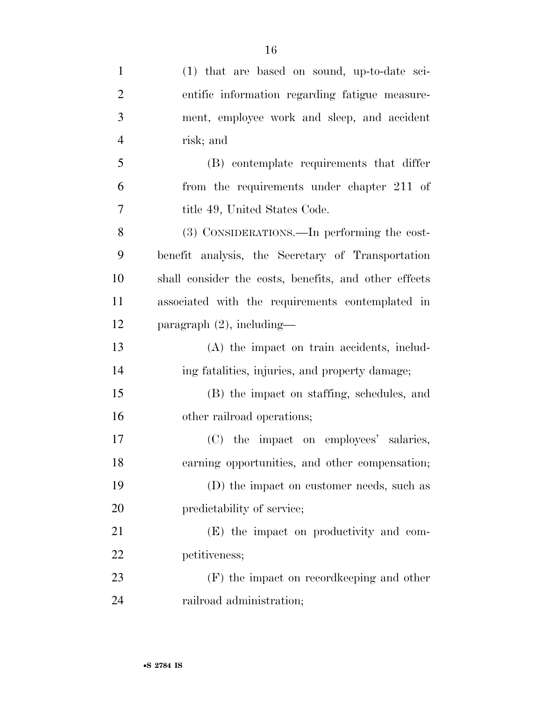| $\mathbf{1}$   | (1) that are based on sound, up-to-date sci-          |
|----------------|-------------------------------------------------------|
| $\overline{2}$ | entific information regarding fatigue measure-        |
| 3              | ment, employee work and sleep, and accident           |
| $\overline{4}$ | risk; and                                             |
| 5              | (B) contemplate requirements that differ              |
| 6              | from the requirements under chapter 211 of            |
| $\overline{7}$ | title 49, United States Code.                         |
| 8              | (3) CONSIDERATIONS.—In performing the cost-           |
| 9              | benefit analysis, the Secretary of Transportation     |
| 10             | shall consider the costs, benefits, and other effects |
| 11             | associated with the requirements contemplated in      |
| 12             | paragraph $(2)$ , including-                          |
| 13             | (A) the impact on train accidents, includ-            |
| 14             | ing fatalities, injuries, and property damage;        |
| 15             | (B) the impact on staffing, schedules, and            |
| 16             | other railroad operations;                            |
| 17             | (C) the impact on employees' salaries,                |
| 18             | earning opportunities, and other compensation;        |
| 19             | (D) the impact on customer needs, such as             |
| 20             | predictability of service;                            |
| 21             | (E) the impact on productivity and com-               |
| 22             | petitiveness;                                         |
| 23             | (F) the impact on record keeping and other            |
| 24             | railroad administration;                              |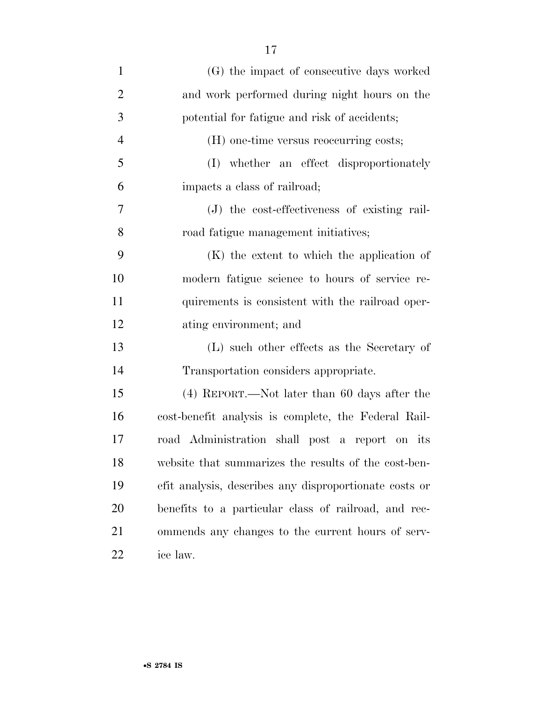| $\mathbf{1}$   | (G) the impact of consecutive days worked              |
|----------------|--------------------------------------------------------|
| $\overline{2}$ | and work performed during night hours on the           |
| 3              | potential for fatigue and risk of accidents;           |
| $\overline{4}$ | (H) one-time versus reoccurring costs;                 |
| 5              | (I) whether an effect disproportionately               |
| 6              | impacts a class of railroad;                           |
| 7              | (J) the cost-effectiveness of existing rail-           |
| 8              | road fatigue management initiatives;                   |
| 9              | $(K)$ the extent to which the application of           |
| 10             | modern fatigue science to hours of service re-         |
| 11             | quirements is consistent with the railroad oper-       |
| 12             | ating environment; and                                 |
| 13             | (L) such other effects as the Secretary of             |
| 14             | Transportation considers appropriate.                  |
| 15             | $(4)$ REPORT.—Not later than 60 days after the         |
| 16             | cost-benefit analysis is complete, the Federal Rail-   |
| 17             | road Administration shall post a report on its         |
| 18             | website that summarizes the results of the cost-ben-   |
| 19             | efit analysis, describes any disproportionate costs or |
| 20             | benefits to a particular class of railroad, and rec-   |
| 21             | ommends any changes to the current hours of serv-      |
| 22             | ice law.                                               |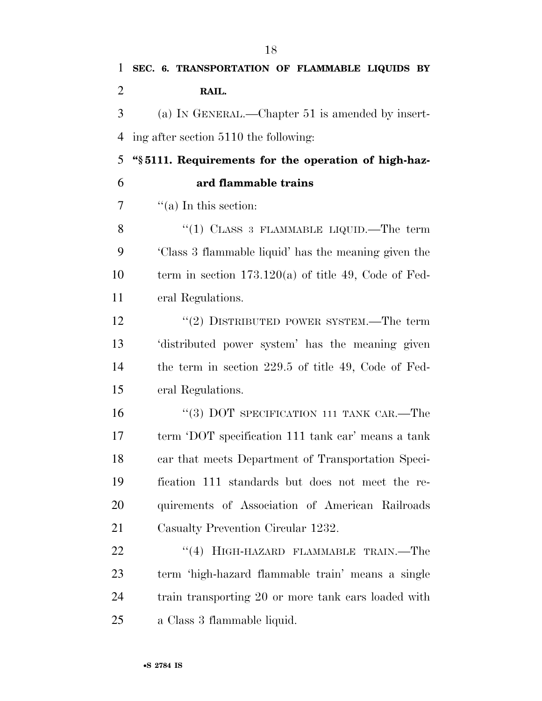| $\overline{2}$ | RAIL.                                                  |
|----------------|--------------------------------------------------------|
| 3              | (a) IN GENERAL.—Chapter 51 is amended by insert-       |
| 4              | ing after section 5110 the following:                  |
| 5              | "§5111. Requirements for the operation of high-haz-    |
| 6              | ard flammable trains                                   |
| 7              | $\lq($ a) In this section:                             |
| 8              | "(1) CLASS 3 FLAMMABLE LIQUID.—The term                |
| 9              | Class 3 flammable liquid' has the meaning given the    |
| 10             | term in section $173.120(a)$ of title 49, Code of Fed- |
| 11             | eral Regulations.                                      |
| 12             | "(2) DISTRIBUTED POWER SYSTEM.—The term                |
| 13             | distributed power system' has the meaning given        |
| 14             | the term in section $229.5$ of title 49, Code of Fed-  |
| 15             | eral Regulations.                                      |
| 16             | "(3) DOT SPECIFICATION 111 TANK CAR.—The               |
| 17             | term 'DOT specification 111 tank car' means a tank     |
| 18             | car that meets Department of Transportation Speci-     |
| 19             | fication 111 standards but does not meet the re-       |
| 20             | quirements of Association of American Railroads        |
| 21             | Casualty Prevention Circular 1232.                     |
| 22             | "(4) HIGH-HAZARD FLAMMABLE TRAIN.—The                  |
| 23             | term 'high-hazard flammable train' means a single      |
| 24             | train transporting 20 or more tank cars loaded with    |
| 25             | a Class 3 flammable liquid.                            |
|                |                                                        |

**SEC. 6. TRANSPORTATION OF FLAMMABLE LIQUIDS BY**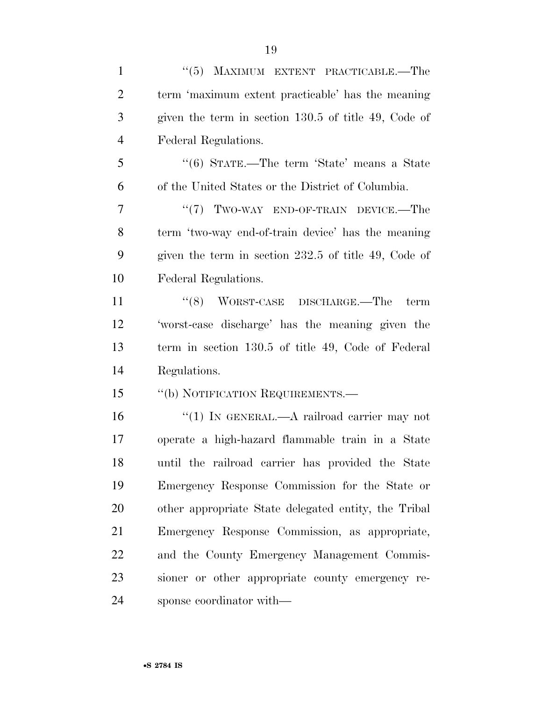| $\mathbf{1}$   | "(5) MAXIMUM EXTENT PRACTICABLE.—The                 |
|----------------|------------------------------------------------------|
| $\overline{2}$ | term 'maximum extent practicable' has the meaning    |
| 3              | given the term in section 130.5 of title 49, Code of |
| $\overline{4}$ | Federal Regulations.                                 |
| 5              | "(6) STATE.—The term 'State' means a State           |
| 6              | of the United States or the District of Columbia.    |
| $\tau$         | " $(7)$ TWO-WAY END-OF-TRAIN DEVICE.—The             |
| 8              | term 'two-way end-of-train device' has the meaning   |
| 9              | given the term in section 232.5 of title 49, Code of |
| 10             | Federal Regulations.                                 |
| 11             | $(8)$ WORST-CASE DISCHARGE.—The<br>term              |
| 12             | 'worst-case discharge' has the meaning given the     |
| 13             | term in section 130.5 of title 49, Code of Federal   |
| 14             | Regulations.                                         |
| 15             | "(b) NOTIFICATION REQUIREMENTS.—                     |
| 16             | "(1) IN GENERAL.—A railroad carrier may not          |
| 17             | operate a high-hazard flammable train in a State     |
| 18             | until the railroad carrier has provided the State    |
| 19             | Emergency Response Commission for the State or       |
| 20             | other appropriate State delegated entity, the Tribal |
| 21             | Emergency Response Commission, as appropriate,       |
| 22             | and the County Emergency Management Commis-          |
| 23             | sioner or other appropriate county emergency re-     |
| 24             | sponse coordinator with—                             |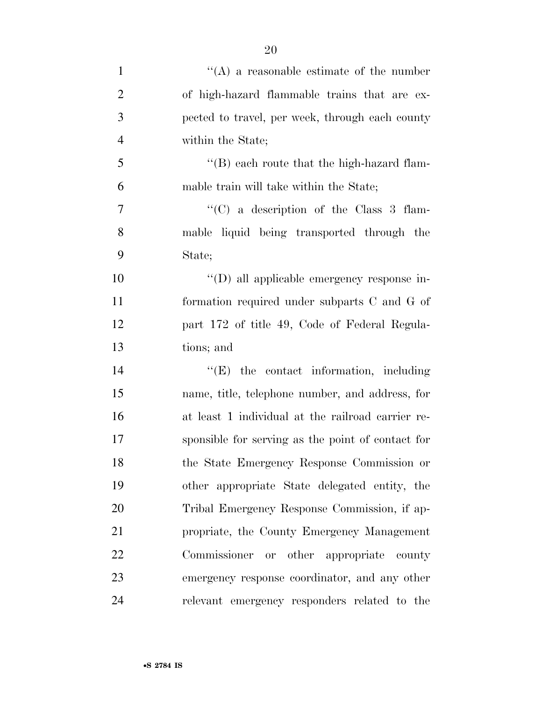| $\mathbf{1}$   | $\lq\lq$ a reasonable estimate of the number      |
|----------------|---------------------------------------------------|
| $\overline{2}$ | of high-hazard flammable trains that are ex-      |
| 3              | pected to travel, per week, through each county   |
| $\overline{4}$ | within the State;                                 |
| 5              | $\lq$ (B) each route that the high-hazard flam-   |
| 6              | mable train will take within the State;           |
| 7              | "(C) a description of the Class 3 flam-           |
| 8              | mable liquid being transported through the        |
| 9              | State;                                            |
| 10             | "(D) all applicable emergency response in-        |
| 11             | formation required under subparts C and G of      |
| 12             | part 172 of title 49, Code of Federal Regula-     |
| 13             | tions; and                                        |
| 14             | $\lq\lq(E)$ the contact information, including    |
| 15             | name, title, telephone number, and address, for   |
| 16             | at least 1 individual at the railroad carrier re- |
| 17             | sponsible for serving as the point of contact for |
| 18             | the State Emergency Response Commission or        |
| 19             | other appropriate State delegated entity, the     |
| 20             | Tribal Emergency Response Commission, if ap-      |
| 21             | propriate, the County Emergency Management        |
| 22             | Commissioner or other appropriate county          |
| 23             | emergency response coordinator, and any other     |
| 24             | relevant emergency responders related to the      |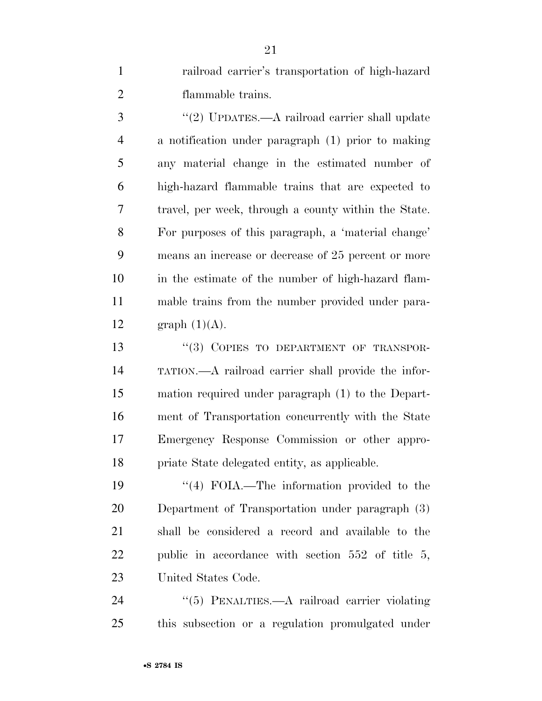railroad carrier's transportation of high-hazard flammable trains.

3 "(2) UPDATES.—A railroad carrier shall update a notification under paragraph (1) prior to making any material change in the estimated number of high-hazard flammable trains that are expected to travel, per week, through a county within the State. For purposes of this paragraph, a 'material change' means an increase or decrease of 25 percent or more in the estimate of the number of high-hazard flam- mable trains from the number provided under para-12 graph  $(1)(A)$ .

13 "(3) COPIES TO DEPARTMENT OF TRANSPOR- TATION.—A railroad carrier shall provide the infor- mation required under paragraph (1) to the Depart- ment of Transportation concurrently with the State Emergency Response Commission or other appro-priate State delegated entity, as applicable.

19 ''(4) FOIA.—The information provided to the Department of Transportation under paragraph (3) shall be considered a record and available to the public in accordance with section 552 of title 5, United States Code.

24 "(5) PENALTIES.—A railroad carrier violating this subsection or a regulation promulgated under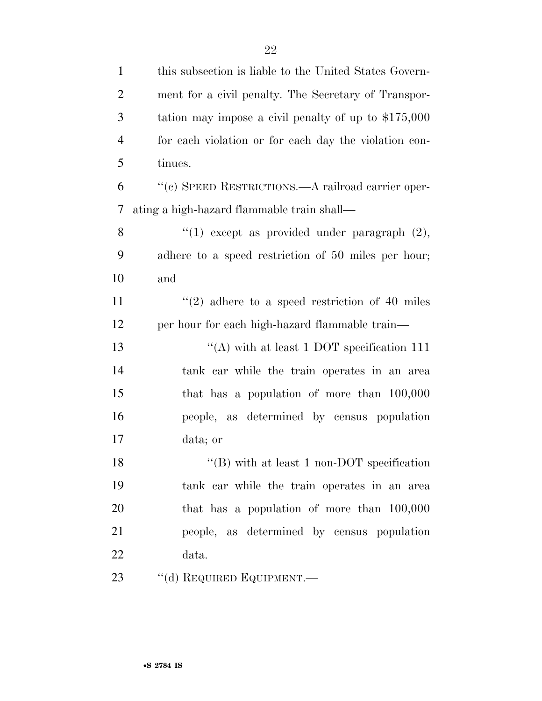| $\mathbf{1}$   | this subsection is liable to the United States Govern- |
|----------------|--------------------------------------------------------|
| $\overline{2}$ | ment for a civil penalty. The Secretary of Transpor-   |
| 3              | tation may impose a civil penalty of up to $$175,000$  |
| $\overline{4}$ | for each violation or for each day the violation con-  |
| 5              | tinues.                                                |
| 6              | "(c) SPEED RESTRICTIONS.—A railroad carrier oper-      |
| 7              | ating a high-hazard flammable train shall—             |
| 8              | "(1) except as provided under paragraph $(2)$ ,        |
| 9              | adhere to a speed restriction of 50 miles per hour;    |
| 10             | and                                                    |
| 11             | $(2)$ adhere to a speed restriction of 40 miles        |
| 12             | per hour for each high-hazard flammable train—         |
| 13             | "(A) with at least 1 DOT specification $111$           |
| 14             | tank car while the train operates in an area           |
| 15             | that has a population of more than $100,000$           |
| 16             | people, as determined by census population             |
| 17             | data; or                                               |
| 18             | "(B) with at least 1 non-DOT specification             |
| 19             | tank car while the train operates in an area           |
| 20             | that has a population of more than $100,000$           |
| 21             | people, as determined by census population             |
| 22             | data.                                                  |
| 23             | "(d) REQUIRED EQUIPMENT.—                              |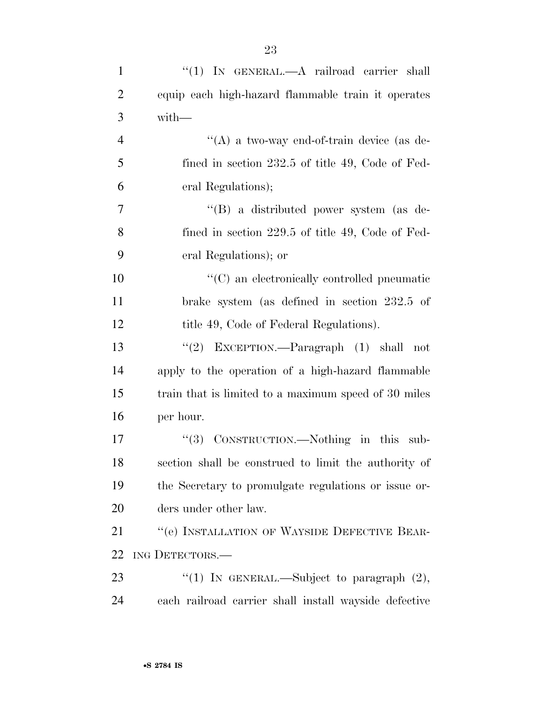| $\mathbf{1}$   | "(1) IN GENERAL.—A railroad carrier shall             |
|----------------|-------------------------------------------------------|
| $\overline{2}$ | equip each high-hazard flammable train it operates    |
| 3              | with-                                                 |
| $\overline{4}$ | "(A) a two-way end-of-train device (as de-            |
| 5              | fined in section 232.5 of title 49, Code of Fed-      |
| 6              | eral Regulations);                                    |
| $\overline{7}$ | "(B) a distributed power system (as de-               |
| 8              | fined in section 229.5 of title 49, Code of Fed-      |
| 9              | eral Regulations); or                                 |
| 10             | $\lq\lq$ (C) an electronically controlled pneumatic   |
| 11             | brake system (as defined in section 232.5 of          |
| 12             | title 49, Code of Federal Regulations).               |
| 13             | "(2) EXCEPTION.—Paragraph (1) shall not               |
| 14             | apply to the operation of a high-hazard flammable     |
| 15             | train that is limited to a maximum speed of 30 miles  |
| 16             | per hour.                                             |
| 17             | CONSTRUCTION.—Nothing in this sub-<br>(3)             |
| 18             | section shall be construed to limit the authority of  |
| 19             | the Secretary to promulgate regulations or issue or-  |
| 20             | ders under other law.                                 |
| 21             | "(e) INSTALLATION OF WAYSIDE DEFECTIVE BEAR-          |
| 22             | ING DETECTORS.-                                       |
| 23             | "(1) IN GENERAL.—Subject to paragraph $(2)$ ,         |
| 24             | each railroad carrier shall install wayside defective |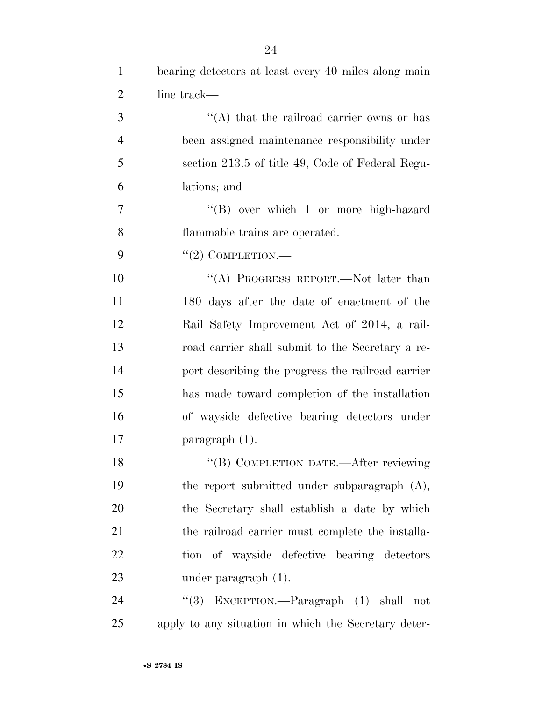| $\mathbf{1}$   | bearing detectors at least every 40 miles along main   |
|----------------|--------------------------------------------------------|
| $\overline{2}$ | line track—                                            |
| 3              | "(A) that the railroad carrier owns or has             |
| $\overline{4}$ | been assigned maintenance responsibility under         |
| 5              | section 213.5 of title 49, Code of Federal Regu-       |
| 6              | lations; and                                           |
| 7              | "(B) over which 1 or more high-hazard                  |
| 8              | flammable trains are operated.                         |
| 9              | $"(2)$ COMPLETION.—                                    |
| 10             | "(A) PROGRESS REPORT.—Not later than                   |
| 11             | 180 days after the date of enactment of the            |
| 12             | Rail Safety Improvement Act of 2014, a rail-           |
| 13             | road carrier shall submit to the Secretary a re-       |
| 14             | port describing the progress the railroad carrier      |
| 15             | has made toward completion of the installation         |
| 16             | of wayside defective bearing detectors under           |
| 17             | $\frac{1}{2}$ paragraph (1).                           |
| 18             | "(B) COMPLETION DATE.—After reviewing                  |
| 19             | the report submitted under subparagraph (A),           |
| 20             | the Secretary shall establish a date by which          |
| 21             | the railroad carrier must complete the installa-       |
| 22             | tion of wayside defective bearing detectors            |
| 23             | under paragraph $(1)$ .                                |
| 24             | ``(3)<br>$EXCEPTION.$ -Paragraph $(1)$<br>shall<br>not |

apply to any situation in which the Secretary deter-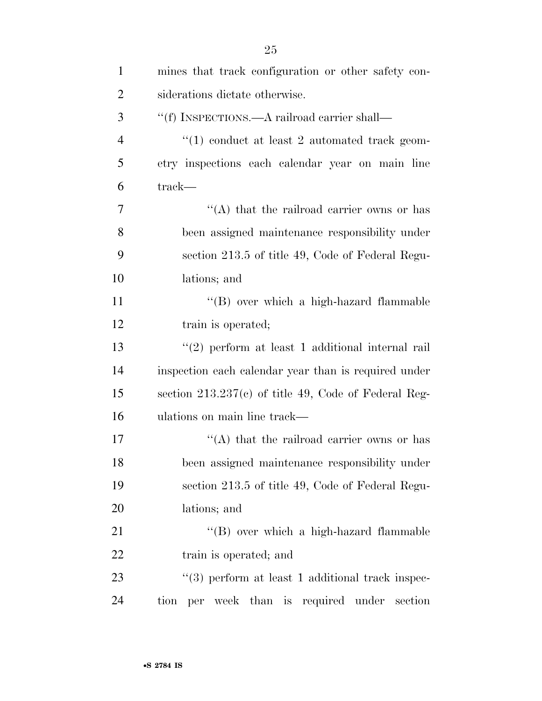| $\mathbf{1}$   | mines that track configuration or other safety con-   |
|----------------|-------------------------------------------------------|
| $\overline{2}$ | siderations dictate otherwise.                        |
| 3              | "(f) INSPECTIONS.—A railroad carrier shall—           |
| $\overline{4}$ | $\lq(1)$ conduct at least 2 automated track geom-     |
| 5              | etry inspections each calendar year on main line      |
| 6              | track—                                                |
| 7              | "(A) that the railroad carrier owns or has            |
| 8              | been assigned maintenance responsibility under        |
| 9              | section 213.5 of title 49, Code of Federal Regu-      |
| 10             | lations; and                                          |
| 11             | "(B) over which a high-hazard flammable               |
| 12             | train is operated;                                    |
| 13             | "(2) perform at least 1 additional internal rail      |
| 14             | inspection each calendar year than is required under  |
| 15             | section 213.237(c) of title 49, Code of Federal Reg-  |
| 16             | ulations on main line track—                          |
| 17             | $\lq\lq$ that the railroad carrier owns or has        |
| 18             | been assigned maintenance responsibility under        |
| 19             | section 213.5 of title 49, Code of Federal Regu-      |
| 20             | lations; and                                          |
| 21             | "(B) over which a high-hazard flammable               |
| 22             | train is operated; and                                |
| 23             | $\lq(3)$ perform at least 1 additional track inspec-  |
| 24             | week than is required under<br>section<br>tion<br>per |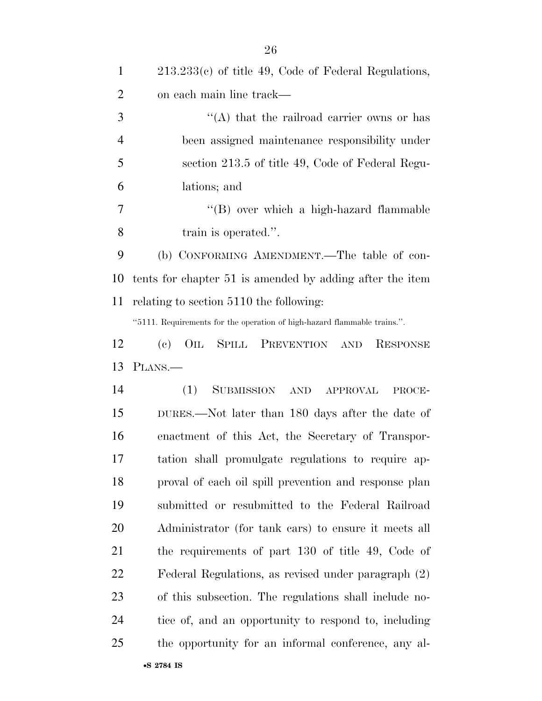| $\mathbf{1}$   | $213.233(c)$ of title 49, Code of Federal Regulations,                   |
|----------------|--------------------------------------------------------------------------|
| $\overline{2}$ | on each main line track—                                                 |
| 3              | $\lq\lq$ that the railroad carrier owns or has                           |
| $\overline{4}$ | been assigned maintenance responsibility under                           |
| 5              | section 213.5 of title 49, Code of Federal Regu-                         |
| 6              | lations; and                                                             |
| 7              | "(B) over which a high-hazard flammable                                  |
| 8              | train is operated.".                                                     |
| 9              | (b) CONFORMING AMENDMENT.—The table of con-                              |
| 10             | tents for chapter 51 is amended by adding after the item                 |
| 11             | relating to section 5110 the following:                                  |
|                | "5111. Requirements for the operation of high-hazard flammable trains.". |
| 12             | (e)<br>OIL SPILL PREVENTION AND RESPONSE                                 |
| 13             | PLANS.—                                                                  |
| 14             | <b>SUBMISSION</b><br>(1)<br>AND APPROVAL<br>PROCE-                       |
| 15             | DURES.—Not later than 180 days after the date of                         |
| 16             | enactment of this Act, the Secretary of Transpor-                        |
| 17             | tation shall promulgate regulations to require ap-                       |
| 18             | proval of each oil spill prevention and response plan                    |
| 19             | submitted or resubmitted to the Federal Railroad                         |
| 20             | Administrator (for tank cars) to ensure it meets all                     |
| 21             | the requirements of part 130 of title 49, Code of                        |
| 22             | Federal Regulations, as revised under paragraph (2)                      |
| 23             | of this subsection. The regulations shall include no-                    |
| 24             | tice of, and an opportunity to respond to, including                     |
| 25             | the opportunity for an informal conference, any al-                      |
|                | •S 2784 IS                                                               |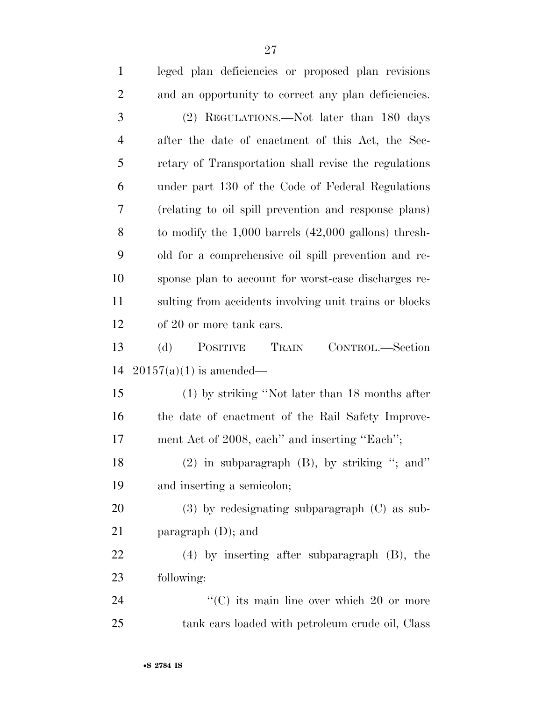| $\mathbf{1}$   | leged plan deficiencies or proposed plan revisions       |
|----------------|----------------------------------------------------------|
| $\overline{2}$ | and an opportunity to correct any plan deficiencies.     |
| 3              | (2) REGULATIONS.—Not later than 180 days                 |
| $\overline{4}$ | after the date of enactment of this Act, the Sec-        |
| 5              | retary of Transportation shall revise the regulations    |
| 6              | under part 130 of the Code of Federal Regulations        |
| 7              | (relating to oil spill prevention and response plans)    |
| 8              | to modify the $1,000$ barrels $(42,000$ gallons) thresh- |
| 9              | old for a comprehensive oil spill prevention and re-     |
| 10             | sponse plan to account for worst-case discharges re-     |
| 11             | sulting from accidents involving unit trains or blocks   |
| 12             | of 20 or more tank cars.                                 |
| 13             | TRAIN<br>(d)<br>POSITIVE<br>CONTROL.—Section             |
| 14             | $20157(a)(1)$ is amended—                                |
| 15             | $(1)$ by striking "Not later than 18 months after        |
| 16             | the date of enactment of the Rail Safety Improve-        |
| 17             | ment Act of 2008, each" and inserting "Each";            |
| 18             | $(2)$ in subparagraph $(B)$ , by striking "; and"        |
| 19             | and inserting a semicolon;                               |
| 20             | $(3)$ by redesignating subparagraph $(C)$ as sub-        |
| 21             | paragraph $(D)$ ; and                                    |
| 22             | $(4)$ by inserting after subparagraph $(B)$ , the        |
| 23             | following:                                               |
| 24             | $\lq\lq$ (C) its main line over which 20 or more         |
| 25             | tank cars loaded with petroleum crude oil, Class         |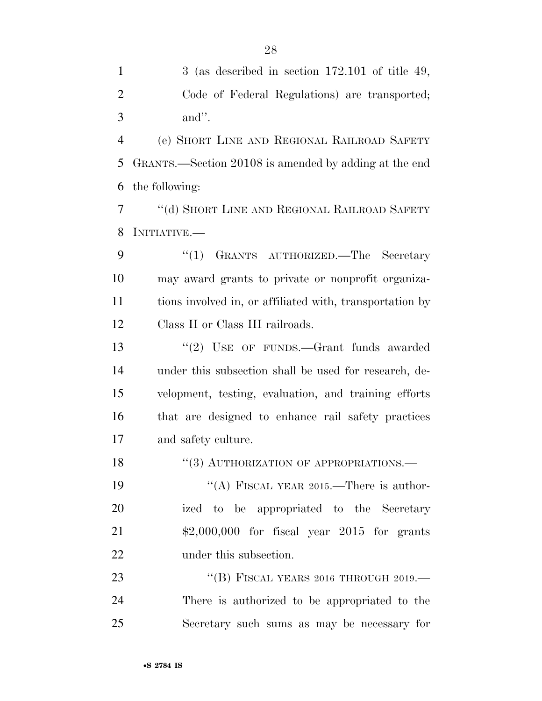| $\mathbf{1}$   | 3 (as described in section $172.101$ of title 49,        |
|----------------|----------------------------------------------------------|
| $\overline{2}$ | Code of Federal Regulations) are transported;            |
| 3              | and".                                                    |
| $\overline{4}$ | (e) SHORT LINE AND REGIONAL RAILROAD SAFETY              |
| 5              | GRANTS.—Section 20108 is amended by adding at the end    |
| 6              | the following:                                           |
| 7              | "(d) SHORT LINE AND REGIONAL RAILROAD SAFETY             |
| 8              | INITIATIVE.—                                             |
| 9              | GRANTS AUTHORIZED. The Secretary<br>``(1)                |
| 10             | may award grants to private or nonprofit organiza-       |
| 11             | tions involved in, or affiliated with, transportation by |
| 12             | Class II or Class III railroads.                         |
| 13             | "(2) USE OF FUNDS.—Grant funds awarded                   |
| 14             | under this subsection shall be used for research, de-    |
| 15             | velopment, testing, evaluation, and training efforts     |
| 16             | that are designed to enhance rail safety practices       |
| 17             | and safety culture.                                      |
| 18             | "(3) AUTHORIZATION OF APPROPRIATIONS.-                   |
| 19             | "(A) FISCAL YEAR 2015.—There is author-                  |
| 20             | ized to be appropriated to the Secretary                 |
| 21             | $$2,000,000$ for fiscal year 2015 for grants             |
| 22             | under this subsection.                                   |
| 23             | "(B) FISCAL YEARS 2016 THROUGH 2019.—                    |
| 24             | There is authorized to be appropriated to the            |
| 25             | Secretary such sums as may be necessary for              |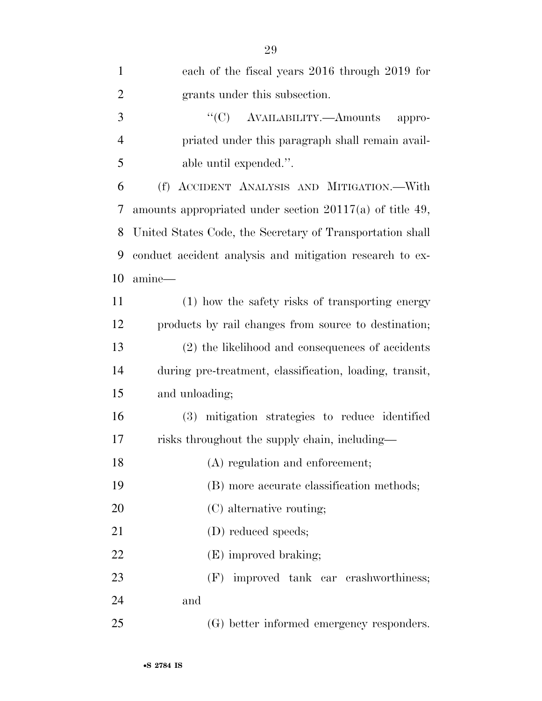| $\mathbf{1}$   | each of the fiscal years 2016 through 2019 for             |
|----------------|------------------------------------------------------------|
| $\overline{2}$ | grants under this subsection.                              |
| 3              | $\lq\lq(C)$ AVAILABILITY.—Amounts<br>appro-                |
| $\overline{4}$ | priated under this paragraph shall remain avail-           |
| 5              | able until expended.".                                     |
| 6              | (f) ACCIDENT ANALYSIS AND MITIGATION. With                 |
| 7              | amounts appropriated under section $20117(a)$ of title 49, |
| 8              | United States Code, the Secretary of Transportation shall  |
| 9              | conduct accident analysis and mitigation research to ex-   |
| 10             | amine-                                                     |
| 11             | (1) how the safety risks of transporting energy            |
| 12             | products by rail changes from source to destination;       |
| 13             | (2) the likelihood and consequences of accidents           |
| 14             | during pre-treatment, classification, loading, transit,    |
| 15             | and unloading;                                             |
| 16             | (3) mitigation strategies to reduce identified             |
| 17             | risks throughout the supply chain, including—              |
| 18             | (A) regulation and enforcement;                            |
| 19             | (B) more accurate classification methods;                  |
| 20             | (C) alternative routing;                                   |
| 21             | (D) reduced speeds;                                        |
| 22             | (E) improved braking;                                      |
| 23             | (F) improved tank car crashworthiness;                     |
| 24             | and                                                        |
| 25             | (G) better informed emergency responders.                  |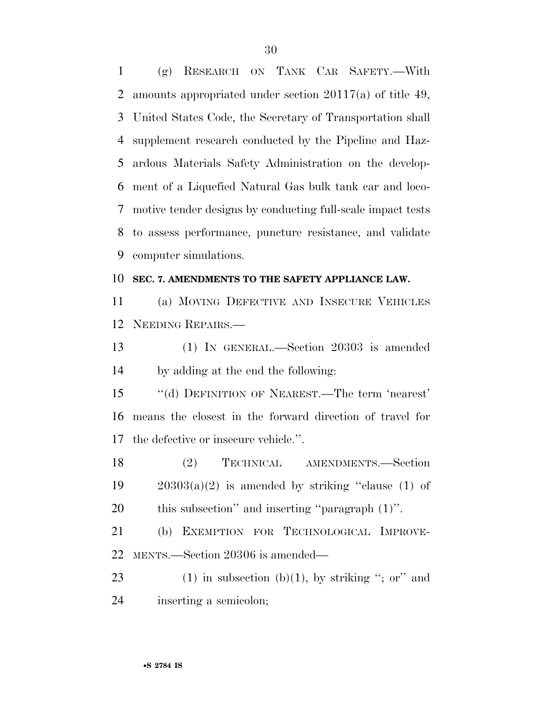(g) RESEARCH ON TANK CAR SAFETY.—With amounts appropriated under section 20117(a) of title 49, United States Code, the Secretary of Transportation shall supplement research conducted by the Pipeline and Haz- ardous Materials Safety Administration on the develop- ment of a Liquefied Natural Gas bulk tank car and loco- motive tender designs by conducting full-scale impact tests to assess performance, puncture resistance, and validate computer simulations.

#### **SEC. 7. AMENDMENTS TO THE SAFETY APPLIANCE LAW.**

 (a) MOVING DEFECTIVE AND INSECURE VEHICLES NEEDING REPAIRS.—

 (1) IN GENERAL.—Section 20303 is amended by adding at the end the following:

 ''(d) DEFINITION OF NEAREST.—The term 'nearest' means the closest in the forward direction of travel for the defective or insecure vehicle.''.

 (2) TECHNICAL AMENDMENTS.—Section 19  $20303(a)(2)$  is amended by striking "clause (1) of this subsection'' and inserting ''paragraph (1)''.

 (b) EXEMPTION FOR TECHNOLOGICAL IMPROVE-MENTS.—Section 20306 is amended—

23 (1) in subsection (b)(1), by striking "; or" and inserting a semicolon;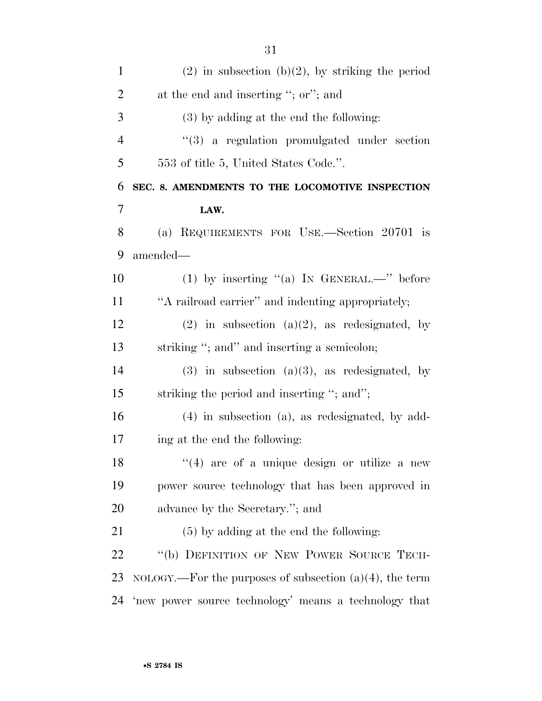| $\mathbf{1}$   | $(2)$ in subsection $(b)(2)$ , by striking the period      |
|----------------|------------------------------------------------------------|
| $\overline{2}$ | at the end and inserting "; or"; and                       |
| 3              | $(3)$ by adding at the end the following:                  |
| $\overline{4}$ | $(3)$ a regulation promulgated under section               |
| 5              | 553 of title 5, United States Code.".                      |
| 6              | SEC. 8. AMENDMENTS TO THE LOCOMOTIVE INSPECTION            |
| 7              | LAW.                                                       |
| 8              | (a) REQUIREMENTS FOR USE.—Section 20701 is                 |
| 9              | amended—                                                   |
| 10             | (1) by inserting "(a) IN GENERAL.—" before                 |
| 11             | "A railroad carrier" and indenting appropriately;          |
| 12             | $(2)$ in subsection $(a)(2)$ , as redesignated, by         |
| 13             | striking "; and" and inserting a semicolon;                |
| 14             | $(3)$ in subsection $(a)(3)$ , as redesignated, by         |
| 15             | striking the period and inserting "; and";                 |
| 16             | $(4)$ in subsection $(a)$ , as redesignated, by add-       |
| 17             | ing at the end the following:                              |
| 18             | $(4)$ are of a unique design or utilize a new              |
| 19             | power source technology that has been approved in          |
| 20             | advance by the Secretary."; and                            |
| 21             | $(5)$ by adding at the end the following:                  |
| 22             | "(b) DEFINITION OF NEW POWER SOURCE TECH-                  |
| 23             | NOLOGY.—For the purposes of subsection $(a)(4)$ , the term |
| 24             | 'new power source technology' means a technology that      |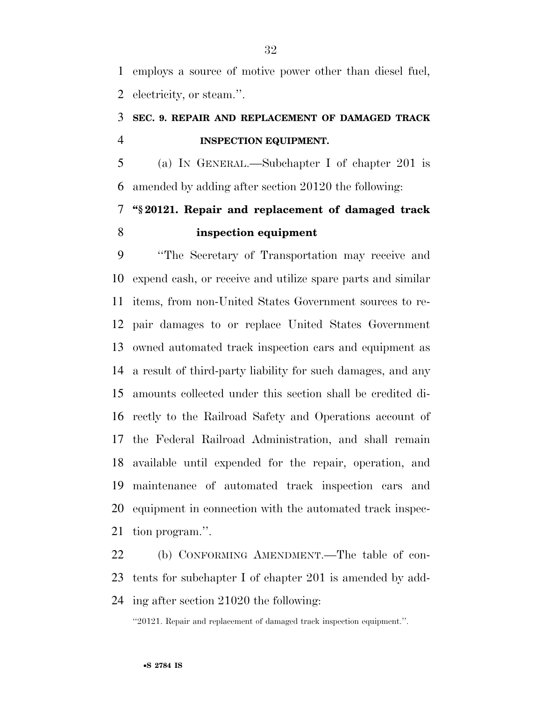employs a source of motive power other than diesel fuel, electricity, or steam.''.

### **SEC. 9. REPAIR AND REPLACEMENT OF DAMAGED TRACK INSPECTION EQUIPMENT.**

 (a) IN GENERAL.—Subchapter I of chapter 201 is amended by adding after section 20120 the following:

## **''§ 20121. Repair and replacement of damaged track inspection equipment**

 ''The Secretary of Transportation may receive and expend cash, or receive and utilize spare parts and similar items, from non-United States Government sources to re- pair damages to or replace United States Government owned automated track inspection cars and equipment as a result of third-party liability for such damages, and any amounts collected under this section shall be credited di- rectly to the Railroad Safety and Operations account of the Federal Railroad Administration, and shall remain available until expended for the repair, operation, and maintenance of automated track inspection cars and equipment in connection with the automated track inspec-tion program.''.

 (b) CONFORMING AMENDMENT.—The table of con- tents for subchapter I of chapter 201 is amended by add-ing after section 21020 the following:

''20121. Repair and replacement of damaged track inspection equipment.''.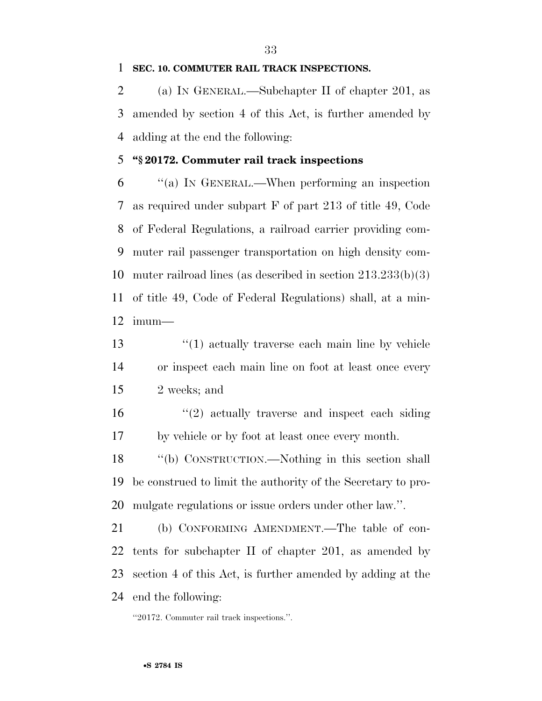#### **SEC. 10. COMMUTER RAIL TRACK INSPECTIONS.**

 (a) IN GENERAL.—Subchapter II of chapter 201, as amended by section 4 of this Act, is further amended by adding at the end the following:

#### **''§ 20172. Commuter rail track inspections**

 ''(a) IN GENERAL.—When performing an inspection as required under subpart F of part 213 of title 49, Code of Federal Regulations, a railroad carrier providing com- muter rail passenger transportation on high density com- muter railroad lines (as described in section 213.233(b)(3) of title 49, Code of Federal Regulations) shall, at a min-imum—

- 13 ''(1) actually traverse each main line by vehicle or inspect each main line on foot at least once every 2 weeks; and
- ''(2) actually traverse and inspect each siding by vehicle or by foot at least once every month.
- ''(b) CONSTRUCTION.—Nothing in this section shall be construed to limit the authority of the Secretary to pro-mulgate regulations or issue orders under other law.''.

 (b) CONFORMING AMENDMENT.—The table of con- tents for subchapter II of chapter 201, as amended by section 4 of this Act, is further amended by adding at the end the following:

''20172. Commuter rail track inspections.''.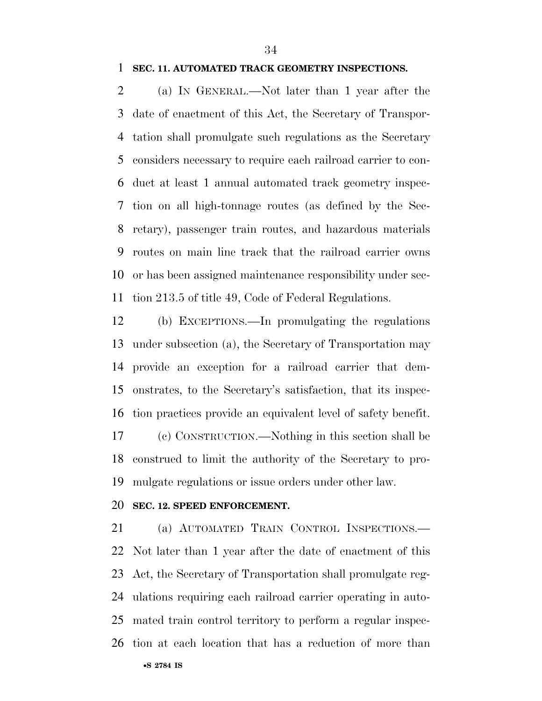#### **SEC. 11. AUTOMATED TRACK GEOMETRY INSPECTIONS.**

 (a) IN GENERAL.—Not later than 1 year after the date of enactment of this Act, the Secretary of Transpor- tation shall promulgate such regulations as the Secretary considers necessary to require each railroad carrier to con- duct at least 1 annual automated track geometry inspec- tion on all high-tonnage routes (as defined by the Sec- retary), passenger train routes, and hazardous materials routes on main line track that the railroad carrier owns or has been assigned maintenance responsibility under sec-tion 213.5 of title 49, Code of Federal Regulations.

 (b) EXCEPTIONS.—In promulgating the regulations under subsection (a), the Secretary of Transportation may provide an exception for a railroad carrier that dem- onstrates, to the Secretary's satisfaction, that its inspec- tion practices provide an equivalent level of safety benefit. (c) CONSTRUCTION.—Nothing in this section shall be

 construed to limit the authority of the Secretary to pro-mulgate regulations or issue orders under other law.

#### **SEC. 12. SPEED ENFORCEMENT.**

 (a) AUTOMATED TRAIN CONTROL INSPECTIONS.— Not later than 1 year after the date of enactment of this Act, the Secretary of Transportation shall promulgate reg- ulations requiring each railroad carrier operating in auto- mated train control territory to perform a regular inspec-tion at each location that has a reduction of more than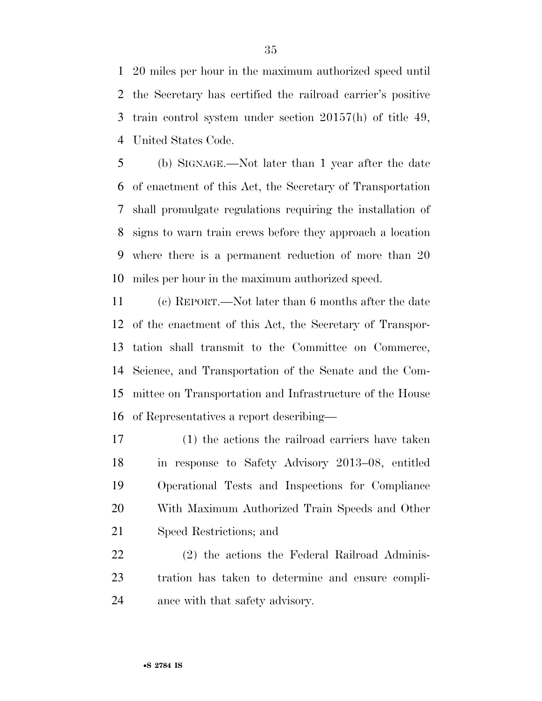20 miles per hour in the maximum authorized speed until the Secretary has certified the railroad carrier's positive train control system under section 20157(h) of title 49, United States Code.

 (b) SIGNAGE.—Not later than 1 year after the date of enactment of this Act, the Secretary of Transportation shall promulgate regulations requiring the installation of signs to warn train crews before they approach a location where there is a permanent reduction of more than 20 miles per hour in the maximum authorized speed.

 (c) REPORT.—Not later than 6 months after the date of the enactment of this Act, the Secretary of Transpor- tation shall transmit to the Committee on Commerce, Science, and Transportation of the Senate and the Com- mittee on Transportation and Infrastructure of the House of Representatives a report describing—

 (1) the actions the railroad carriers have taken in response to Safety Advisory 2013–08, entitled Operational Tests and Inspections for Compliance With Maximum Authorized Train Speeds and Other Speed Restrictions; and

 (2) the actions the Federal Railroad Adminis- tration has taken to determine and ensure compli-ance with that safety advisory.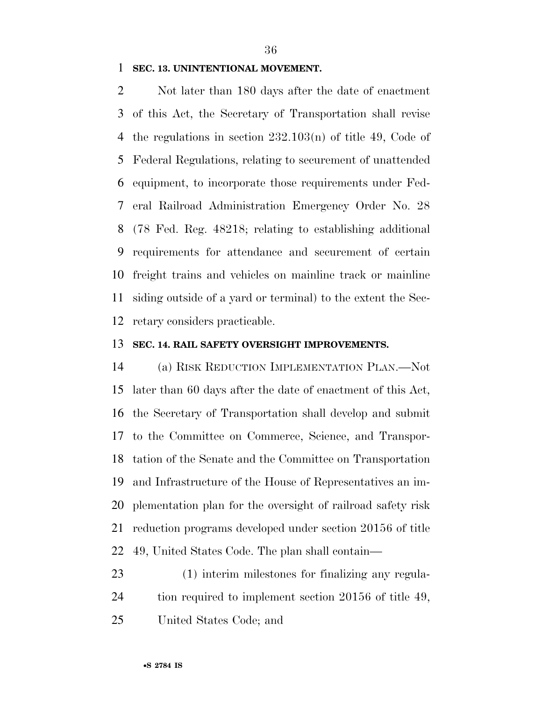#### **SEC. 13. UNINTENTIONAL MOVEMENT.**

 Not later than 180 days after the date of enactment of this Act, the Secretary of Transportation shall revise the regulations in section 232.103(n) of title 49, Code of Federal Regulations, relating to securement of unattended equipment, to incorporate those requirements under Fed- eral Railroad Administration Emergency Order No. 28 (78 Fed. Reg. 48218; relating to establishing additional requirements for attendance and securement of certain freight trains and vehicles on mainline track or mainline siding outside of a yard or terminal) to the extent the Sec-retary considers practicable.

#### **SEC. 14. RAIL SAFETY OVERSIGHT IMPROVEMENTS.**

 (a) RISK REDUCTION IMPLEMENTATION PLAN.—Not later than 60 days after the date of enactment of this Act, the Secretary of Transportation shall develop and submit to the Committee on Commerce, Science, and Transpor- tation of the Senate and the Committee on Transportation and Infrastructure of the House of Representatives an im- plementation plan for the oversight of railroad safety risk reduction programs developed under section 20156 of title 49, United States Code. The plan shall contain—

 (1) interim milestones for finalizing any regula-24 tion required to implement section 20156 of title 49,

United States Code; and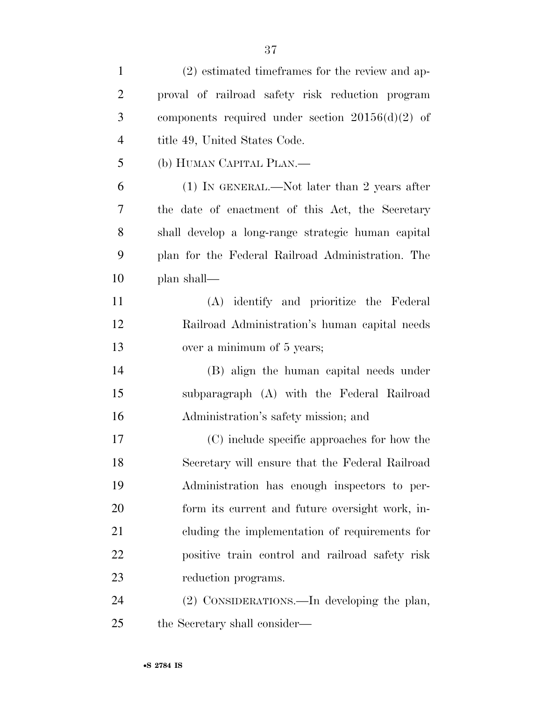| $\mathbf{1}$   | (2) estimated time frames for the review and ap-   |
|----------------|----------------------------------------------------|
| $\overline{2}$ | proval of railroad safety risk reduction program   |
| 3              | components required under section $20156(d)(2)$ of |
| $\overline{4}$ | title 49, United States Code.                      |
| 5              | (b) HUMAN CAPITAL PLAN.—                           |
| 6              | $(1)$ In GENERAL.—Not later than 2 years after     |
| 7              | the date of enactment of this Act, the Secretary   |
| 8              | shall develop a long-range strategic human capital |
| 9              | plan for the Federal Railroad Administration. The  |
| 10             | plan shall—                                        |
| 11             | (A) identify and prioritize the Federal            |
| 12             | Railroad Administration's human capital needs      |
| 13             | over a minimum of 5 years;                         |
| 14             | (B) align the human capital needs under            |
| 15             | subparagraph (A) with the Federal Railroad         |
| 16             | Administration's safety mission; and               |
| 17             | (C) include specific approaches for how the        |
| 18             | Secretary will ensure that the Federal Railroad    |
| 19             | Administration has enough inspectors to per-       |
| 20             | form its current and future oversight work, in-    |
| 21             | cluding the implementation of requirements for     |
| 22             | positive train control and railroad safety risk    |
| 23             | reduction programs.                                |
| 24             | (2) CONSIDERATIONS.—In developing the plan,        |
| 25             | the Secretary shall consider—                      |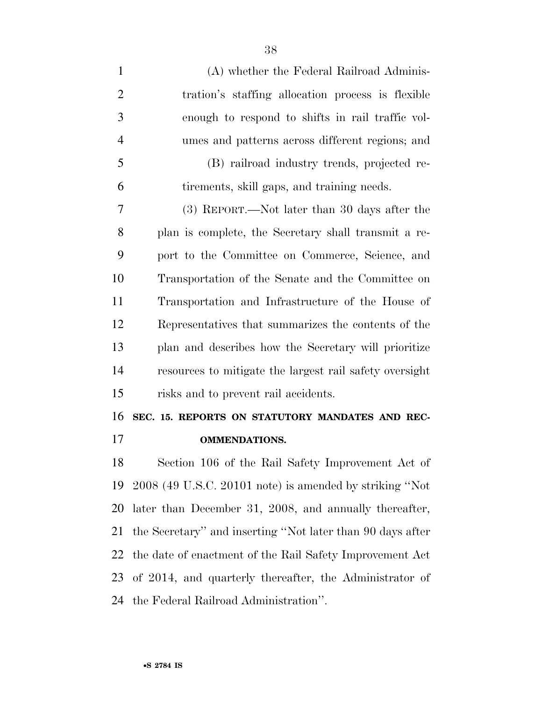| $\mathbf{1}$   | (A) whether the Federal Railroad Adminis-                  |
|----------------|------------------------------------------------------------|
| $\overline{2}$ | tration's staffing allocation process is flexible          |
| 3              | enough to respond to shifts in rail traffic vol-           |
| $\overline{4}$ | umes and patterns across different regions; and            |
| 5              | (B) railroad industry trends, projected re-                |
| 6              | tirements, skill gaps, and training needs.                 |
| 7              | (3) REPORT.—Not later than 30 days after the               |
| 8              | plan is complete, the Secretary shall transmit a re-       |
| 9              | port to the Committee on Commerce, Science, and            |
| 10             | Transportation of the Senate and the Committee on          |
| 11             | Transportation and Infrastructure of the House of          |
| 12             | Representatives that summarizes the contents of the        |
| 13             | plan and describes how the Secretary will prioritize       |
| 14             | resources to mitigate the largest rail safety oversight    |
| 15             | risks and to prevent rail accidents.                       |
| 16             | SEC. 15. REPORTS ON STATUTORY MANDATES AND REC-            |
| 17             | <b>OMMENDATIONS.</b>                                       |
| 18             | Section 106 of the Rail Safety Improvement Act of          |
| 19             | 2008 (49 U.S.C. 20101 note) is amended by striking "Not    |
| 20             | later than December 31, 2008, and annually thereafter,     |
| 21             | the Secretary" and inserting "Not later than 90 days after |
| 22             | the date of enactment of the Rail Safety Improvement Act   |
| 23             | of 2014, and quarterly thereafter, the Administrator of    |
| 24             | the Federal Railroad Administration".                      |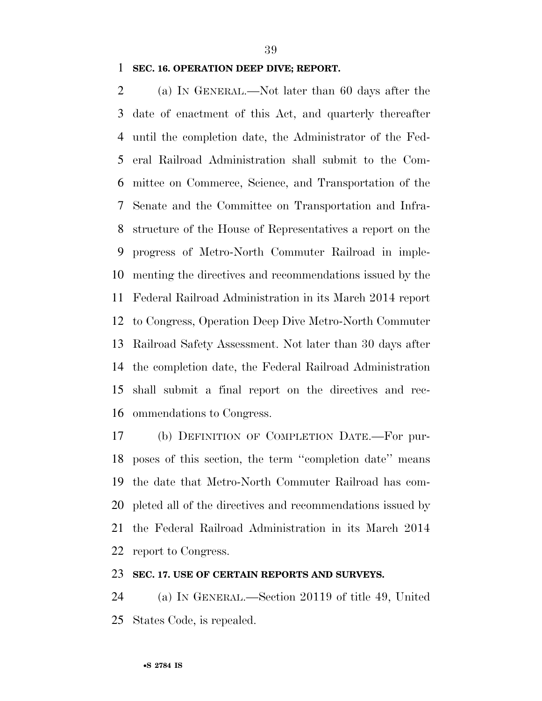#### **SEC. 16. OPERATION DEEP DIVE; REPORT.**

 (a) IN GENERAL.—Not later than 60 days after the date of enactment of this Act, and quarterly thereafter until the completion date, the Administrator of the Fed- eral Railroad Administration shall submit to the Com- mittee on Commerce, Science, and Transportation of the Senate and the Committee on Transportation and Infra- structure of the House of Representatives a report on the progress of Metro-North Commuter Railroad in imple- menting the directives and recommendations issued by the Federal Railroad Administration in its March 2014 report to Congress, Operation Deep Dive Metro-North Commuter Railroad Safety Assessment. Not later than 30 days after the completion date, the Federal Railroad Administration shall submit a final report on the directives and rec-ommendations to Congress.

 (b) DEFINITION OF COMPLETION DATE.—For pur- poses of this section, the term ''completion date'' means the date that Metro-North Commuter Railroad has com- pleted all of the directives and recommendations issued by the Federal Railroad Administration in its March 2014 report to Congress.

#### **SEC. 17. USE OF CERTAIN REPORTS AND SURVEYS.**

 (a) IN GENERAL.—Section 20119 of title 49, United States Code, is repealed.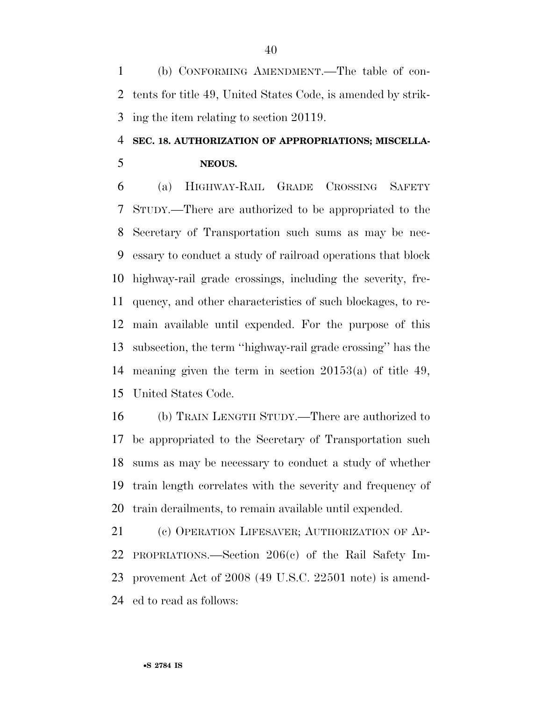(b) CONFORMING AMENDMENT.—The table of con- tents for title 49, United States Code, is amended by strik-ing the item relating to section 20119.

### **SEC. 18. AUTHORIZATION OF APPROPRIATIONS; MISCELLA-NEOUS.**

 (a) HIGHWAY-RAIL GRADE CROSSING SAFETY STUDY.—There are authorized to be appropriated to the Secretary of Transportation such sums as may be nec- essary to conduct a study of railroad operations that block highway-rail grade crossings, including the severity, fre- quency, and other characteristics of such blockages, to re- main available until expended. For the purpose of this subsection, the term ''highway-rail grade crossing'' has the meaning given the term in section 20153(a) of title 49, United States Code.

 (b) TRAIN LENGTH STUDY.—There are authorized to be appropriated to the Secretary of Transportation such sums as may be necessary to conduct a study of whether train length correlates with the severity and frequency of train derailments, to remain available until expended.

 (c) OPERATION LIFESAVER; AUTHORIZATION OF AP- PROPRIATIONS.—Section 206(c) of the Rail Safety Im- provement Act of 2008 (49 U.S.C. 22501 note) is amend-ed to read as follows: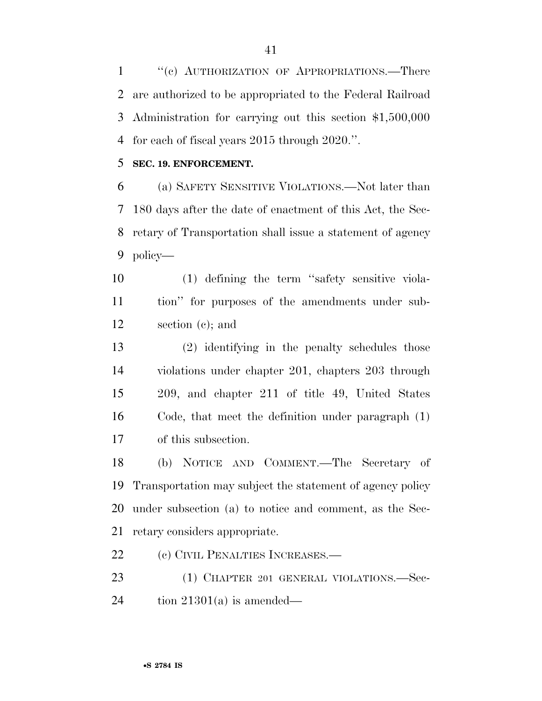1 "(c) AUTHORIZATION OF APPROPRIATIONS.—There are authorized to be appropriated to the Federal Railroad Administration for carrying out this section \$1,500,000 for each of fiscal years 2015 through 2020.''.

#### **SEC. 19. ENFORCEMENT.**

 (a) SAFETY SENSITIVE VIOLATIONS.—Not later than 180 days after the date of enactment of this Act, the Sec- retary of Transportation shall issue a statement of agency policy—

 (1) defining the term ''safety sensitive viola- tion'' for purposes of the amendments under sub-section (c); and

 (2) identifying in the penalty schedules those violations under chapter 201, chapters 203 through 209, and chapter 211 of title 49, United States Code, that meet the definition under paragraph (1) of this subsection.

 (b) NOTICE AND COMMENT.—The Secretary of Transportation may subject the statement of agency policy under subsection (a) to notice and comment, as the Sec-retary considers appropriate.

22 (c) CIVIL PENALTIES INCREASES.—

23 (1) CHAPTER 201 GENERAL VIOLATIONS.—Sec-24 tion  $21301(a)$  is amended—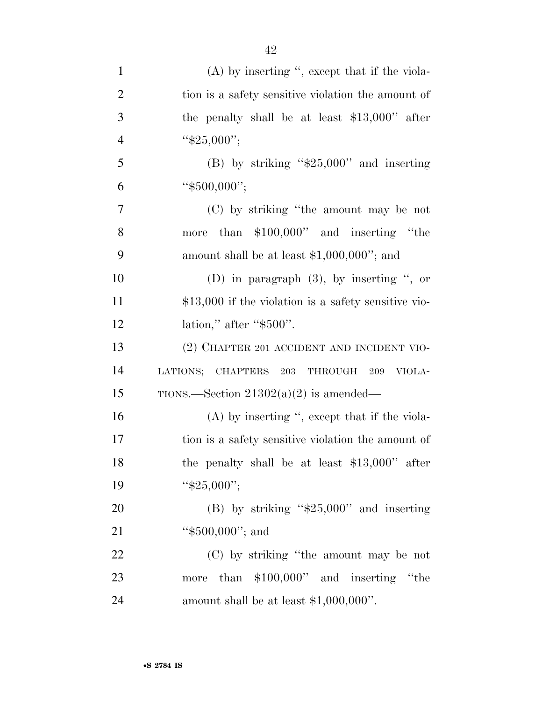| $\mathbf{1}$   | $(A)$ by inserting ", except that if the viola-       |
|----------------|-------------------------------------------------------|
| $\overline{2}$ | tion is a safety sensitive violation the amount of    |
| 3              | the penalty shall be at least $$13,000"$ after        |
| $\overline{4}$ | " $$25,000$ ";                                        |
| 5              | (B) by striking " $$25,000"$ and inserting            |
| 6              | " $$500,000$ ";                                       |
| $\overline{7}$ | (C) by striking "the amount may be not                |
| 8              | than $$100,000"$ and inserting "the<br>more           |
| 9              | amount shall be at least $$1,000,000$ "; and          |
| 10             | (D) in paragraph $(3)$ , by inserting ", or           |
| 11             | $$13,000$ if the violation is a safety sensitive vio- |
| 12             | lation," after " $$500"$ .                            |
| 13             | (2) CHAPTER 201 ACCIDENT AND INCIDENT VIO-            |
| 14             | LATIONS;<br>CHAPTERS 203<br>THROUGH<br>209<br>VIOLA-  |
| 15             | TIONS.—Section $21302(a)(2)$ is amended—              |
| 16             | $(A)$ by inserting ", except that if the viola-       |
| 17             | tion is a safety sensitive violation the amount of    |
| 18             | the penalty shall be at least $$13,000"$ after        |
| 19             | " $$25,000$ ";                                        |
| 20             | (B) by striking " $$25,000"$ and inserting            |
| 21             | " $$500,000"$ ; and                                   |
| 22             | (C) by striking "the amount may be not                |
| 23             | more than \$100,000" and inserting "the               |
| 24             | amount shall be at least $$1,000,000$ ".              |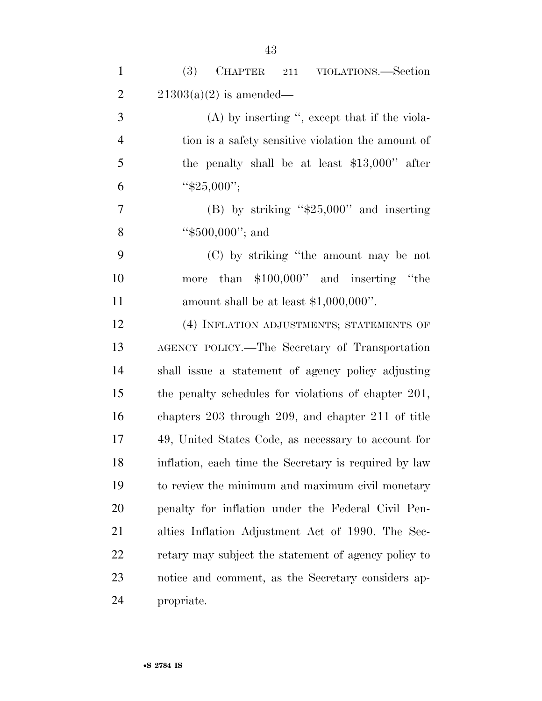| $\mathbf{1}$   | (3)<br><b>CHAPTER</b><br>VIOLATIONS.—Section<br>211   |
|----------------|-------------------------------------------------------|
| $\overline{2}$ | $21303(a)(2)$ is amended—                             |
| 3              | $(A)$ by inserting ", except that if the viola-       |
| $\overline{4}$ | tion is a safety sensitive violation the amount of    |
| 5              | the penalty shall be at least $$13,000"$ after        |
| 6              | " $$25,000$ ";                                        |
| $\overline{7}$ | (B) by striking " $$25,000"$ and inserting            |
| 8              | "\$500,000"; and                                      |
| 9              | (C) by striking "the amount may be not                |
| 10             | than $$100,000"$ and inserting "the<br>more           |
| 11             | amount shall be at least $$1,000,000$ ".              |
| 12             | (4) INFLATION ADJUSTMENTS; STATEMENTS OF              |
| 13             | AGENCY POLICY.—The Secretary of Transportation        |
| 14             | shall issue a statement of agency policy adjusting    |
| 15             | the penalty schedules for violations of chapter 201,  |
| 16             | chapters 203 through 209, and chapter 211 of title    |
| 17             | 49, United States Code, as necessary to account for   |
| 18             | inflation, each time the Secretary is required by law |
| 19             | to review the minimum and maximum civil monetary      |
| 20             | penalty for inflation under the Federal Civil Pen-    |
| 21             | alties Inflation Adjustment Act of 1990. The Sec-     |
| 22             | retary may subject the statement of agency policy to  |
| 23             | notice and comment, as the Secretary considers ap-    |
| 24             | propriate.                                            |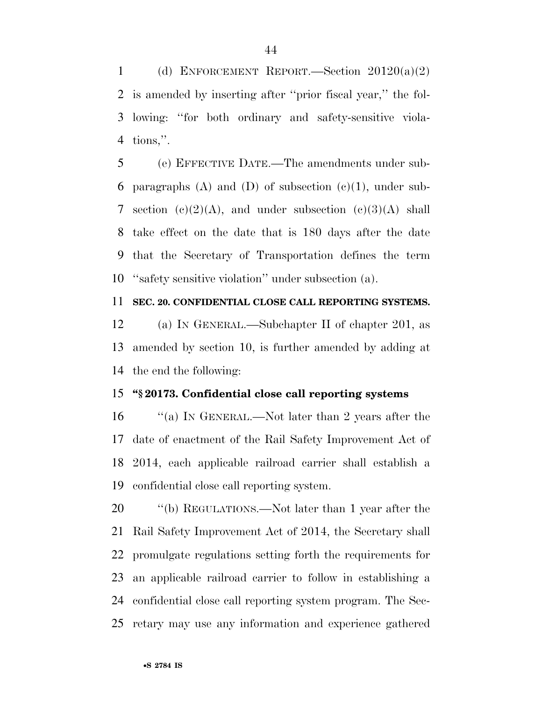1 (d) ENFORCEMENT REPORT.—Section  $20120(a)(2)$  is amended by inserting after ''prior fiscal year,'' the fol- lowing: ''for both ordinary and safety-sensitive viola-tions,''.

 (e) EFFECTIVE DATE.—The amendments under sub-6 paragraphs (A) and (D) of subsection  $(e)(1)$ , under sub-7 section  $(c)(2)(A)$ , and under subsection  $(c)(3)(A)$  shall take effect on the date that is 180 days after the date that the Secretary of Transportation defines the term ''safety sensitive violation'' under subsection (a).

#### **SEC. 20. CONFIDENTIAL CLOSE CALL REPORTING SYSTEMS.**

 (a) IN GENERAL.—Subchapter II of chapter 201, as amended by section 10, is further amended by adding at the end the following:

### **''§ 20173. Confidential close call reporting systems**

 ''(a) IN GENERAL.—Not later than 2 years after the date of enactment of the Rail Safety Improvement Act of 2014, each applicable railroad carrier shall establish a confidential close call reporting system.

20 "(b) REGULATIONS.—Not later than 1 year after the Rail Safety Improvement Act of 2014, the Secretary shall promulgate regulations setting forth the requirements for an applicable railroad carrier to follow in establishing a confidential close call reporting system program. The Sec-retary may use any information and experience gathered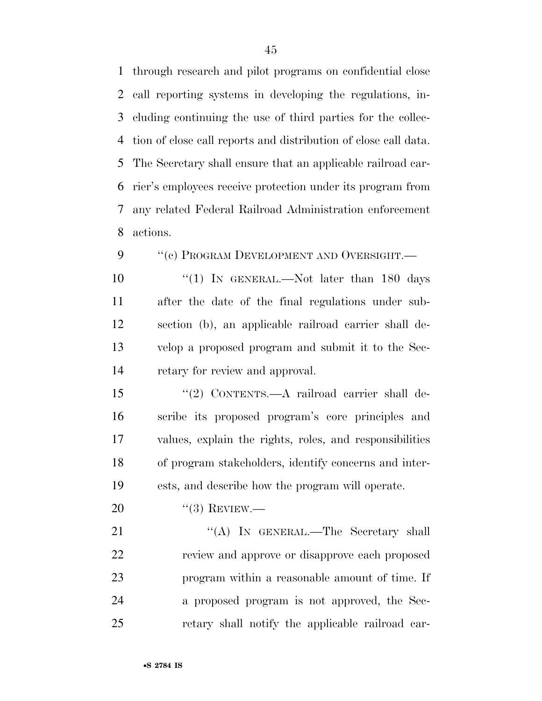through research and pilot programs on confidential close call reporting systems in developing the regulations, in- cluding continuing the use of third parties for the collec- tion of close call reports and distribution of close call data. The Secretary shall ensure that an applicable railroad car- rier's employees receive protection under its program from any related Federal Railroad Administration enforcement actions.

9 ""(c) PROGRAM DEVELOPMENT AND OVERSIGHT.—

10 ''(1) In GENERAL.—Not later than 180 days after the date of the final regulations under sub- section (b), an applicable railroad carrier shall de- velop a proposed program and submit it to the Sec-retary for review and approval.

 ''(2) CONTENTS.—A railroad carrier shall de- scribe its proposed program's core principles and values, explain the rights, roles, and responsibilities of program stakeholders, identify concerns and inter-ests, and describe how the program will operate.

20 "(3) REVIEW.—

21 "'(A) In GENERAL.—The Secretary shall review and approve or disapprove each proposed program within a reasonable amount of time. If a proposed program is not approved, the Sec-retary shall notify the applicable railroad car-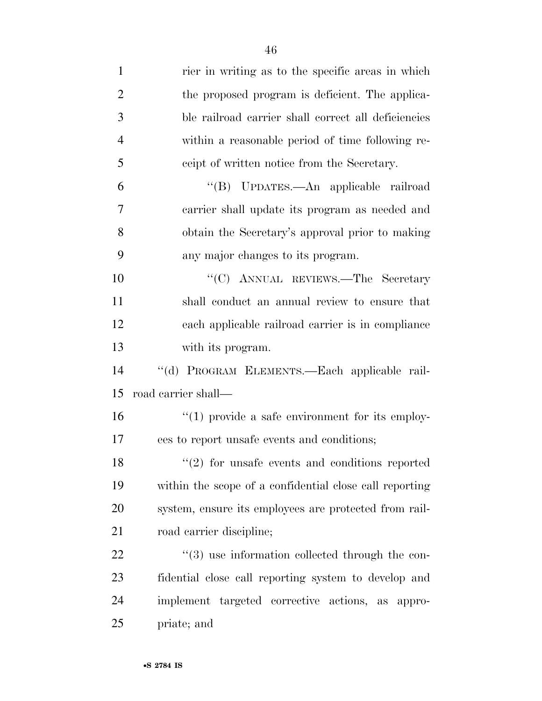| $\mathbf{1}$   | rier in writing as to the specific areas in which               |
|----------------|-----------------------------------------------------------------|
| $\overline{2}$ | the proposed program is deficient. The applica-                 |
| 3              | ble railroad carrier shall correct all deficiencies             |
| $\overline{4}$ | within a reasonable period of time following re-                |
| 5              | ceipt of written notice from the Secretary.                     |
| 6              | "(B) UPDATES.—An applicable railroad                            |
| $\overline{7}$ | carrier shall update its program as needed and                  |
| 8              | obtain the Secretary's approval prior to making                 |
| 9              | any major changes to its program.                               |
| 10             | "(C) ANNUAL REVIEWS.—The Secretary                              |
| 11             | shall conduct an annual review to ensure that                   |
| 12             | each applicable railroad carrier is in compliance               |
| 13             | with its program.                                               |
| 14             | "(d) PROGRAM ELEMENTS.—Each applicable rail-                    |
| 15             | road carrier shall—                                             |
| 16             | $\lq(1)$ provide a safe environment for its employ-             |
| 17             | ees to report unsafe events and conditions;                     |
| 18             | $(2)$ for unsafe events and conditions reported                 |
| 19             | within the scope of a confidential close call reporting         |
| 20             | system, ensure its employees are protected from rail-           |
| 21             | road carrier discipline;                                        |
| 22             | $\cdot\cdot\cdot(3)$ use information collected through the con- |
| 23             | fidential close call reporting system to develop and            |
| 24             | implement targeted corrective actions, as appro-                |
| 25             | priate; and                                                     |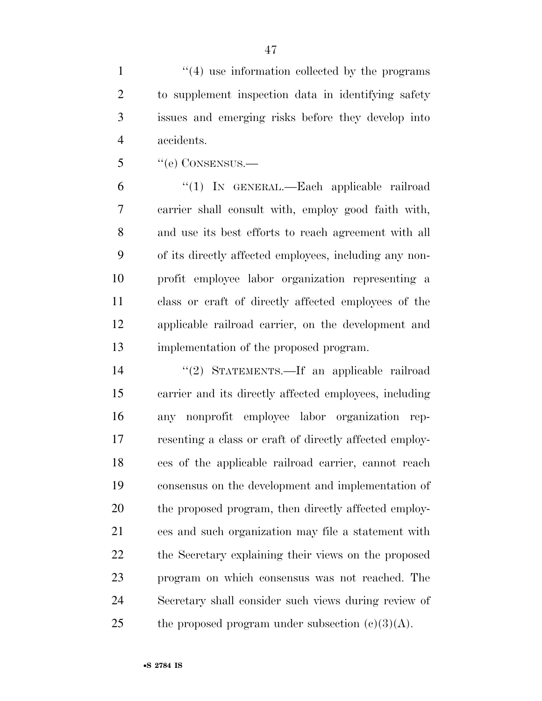1 ''(4) use information collected by the programs to supplement inspection data in identifying safety issues and emerging risks before they develop into accidents.

''(e) CONSENSUS.—

 ''(1) IN GENERAL.—Each applicable railroad carrier shall consult with, employ good faith with, and use its best efforts to reach agreement with all of its directly affected employees, including any non- profit employee labor organization representing a class or craft of directly affected employees of the applicable railroad carrier, on the development and implementation of the proposed program.

 ''(2) STATEMENTS.—If an applicable railroad carrier and its directly affected employees, including any nonprofit employee labor organization rep- resenting a class or craft of directly affected employ- ees of the applicable railroad carrier, cannot reach consensus on the development and implementation of the proposed program, then directly affected employ- ees and such organization may file a statement with the Secretary explaining their views on the proposed program on which consensus was not reached. The Secretary shall consider such views during review of 25 the proposed program under subsection  $(c)(3)(A)$ .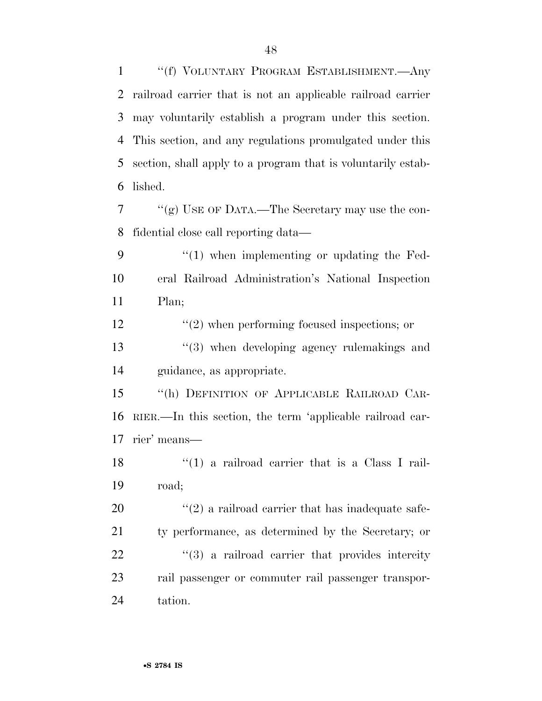''(f) VOLUNTARY PROGRAM ESTABLISHMENT.—Any railroad carrier that is not an applicable railroad carrier may voluntarily establish a program under this section. This section, and any regulations promulgated under this section, shall apply to a program that is voluntarily estab-lished.

 ''(g) USE OF DATA.—The Secretary may use the con-fidential close call reporting data—

9 "(1) when implementing or updating the Fed- eral Railroad Administration's National Inspection Plan;

12  $\frac{1}{2}$   $\frac{1}{2}$  when performing focused inspections; or

13 ''(3) when developing agency rulemakings and guidance, as appropriate.

 ''(h) DEFINITION OF APPLICABLE RAILROAD CAR- RIER.—In this section, the term 'applicable railroad car-rier' means—

18  $\frac{1}{2}$  (1) a railroad carrier that is a Class I rail-road;

 ''(2) a railroad carrier that has inadequate safe- ty performance, as determined by the Secretary; or 22 ''(3) a railroad carrier that provides intercity rail passenger or commuter rail passenger transpor-tation.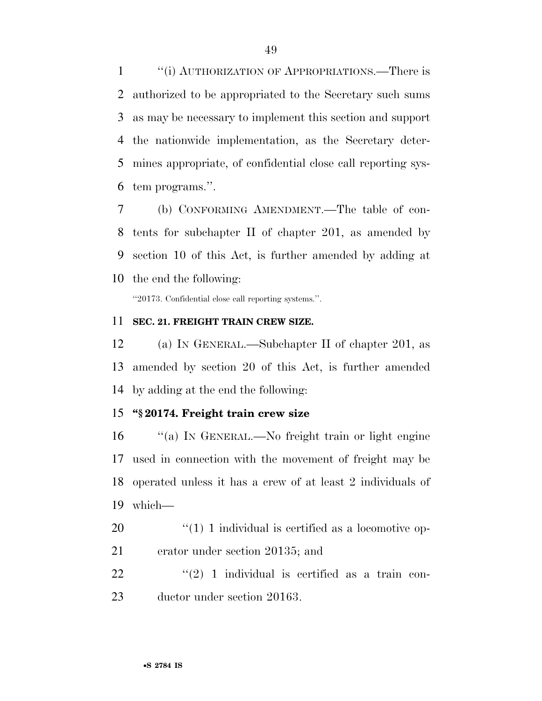''(i) AUTHORIZATION OF APPROPRIATIONS.—There is authorized to be appropriated to the Secretary such sums as may be necessary to implement this section and support the nationwide implementation, as the Secretary deter- mines appropriate, of confidential close call reporting sys-tem programs.''.

 (b) CONFORMING AMENDMENT.—The table of con- tents for subchapter II of chapter 201, as amended by section 10 of this Act, is further amended by adding at the end the following:

''20173. Confidential close call reporting systems.''.

#### **SEC. 21. FREIGHT TRAIN CREW SIZE.**

 (a) IN GENERAL.—Subchapter II of chapter 201, as amended by section 20 of this Act, is further amended by adding at the end the following:

#### **''§ 20174. Freight train crew size**

 ''(a) IN GENERAL.—No freight train or light engine used in connection with the movement of freight may be operated unless it has a crew of at least 2 individuals of which—

 ''(1) 1 individual is certified as a locomotive op-erator under section 20135; and

  $(2)$  1 individual is certified as a train con-ductor under section 20163.